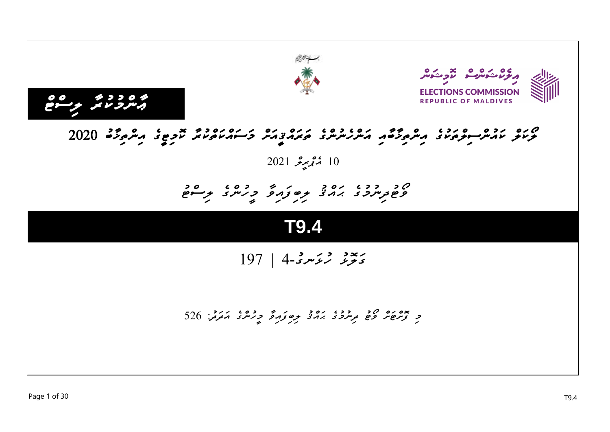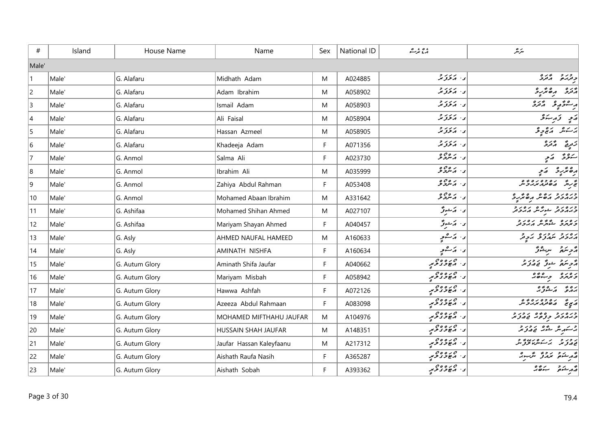| #              | Island | House Name     | Name                       | Sex | National ID | ړه پر ه                                                                                  | ىئرىتر                                                                                                         |
|----------------|--------|----------------|----------------------------|-----|-------------|------------------------------------------------------------------------------------------|----------------------------------------------------------------------------------------------------------------|
| Male'          |        |                |                            |     |             |                                                                                          |                                                                                                                |
|                | Male'  | G. Alafaru     | Midhath Adam               | M   | A024885     | ى بە ئەترىپى                                                                             | پە رە<br>مەنزۈ<br>  د تربر و                                                                                   |
| $\overline{2}$ | Male'  | G. Alafaru     | Adam Ibrahim               | M   | A058902     | ى بە ئەترىپى                                                                             | أرمزه المقتربة                                                                                                 |
| $ 3\rangle$    | Male'  | G. Alafaru     | Ismail Adam                | M   | A058903     | ى بە ئەترىر                                                                              | پرسرد پر پر پرداز در پر                                                                                        |
| $\vert 4$      | Male'  | G. Alafaru     | Ali Faisal                 | M   | A058904     | ى بە ئەترىر                                                                              | ړې زېږېد                                                                                                       |
| $\overline{5}$ | Male'  | G. Alafaru     | Hassan Azmeel              | M   | A058905     | ى بە ئەترىر                                                                              | پرستانگر از چارچایی                                                                                            |
| $\overline{6}$ | Male'  | G. Alafaru     | Khadeeja Adam              | F   | A071356     | ى بە ئەترىپى                                                                             | تزمرمج المرمرة                                                                                                 |
| $\vert$ 7      | Male'  | G. Anmol       | Salma Ali                  | F.  | A023730     | ى بەرەم ۋە                                                                               | سەۋىۋە بەير                                                                                                    |
| 8              | Male'  | G. Anmol       | Ibrahim Ali                | M   | A035999     | ى بەر ھەم ھ                                                                              | رە ئرىر ئىر                                                                                                    |
| 9              | Male'  | G. Anmol       | Zahiya Abdul Rahman        | F.  | A053408     | ى بەر مەھ                                                                                | ه به ره ده ده ده و                                                                                             |
| 10             | Male'  | G. Anmol       | Mohamed Abaan Ibrahim      | M   | A331642     | ى بەر مەھ                                                                                | ورەر د روم رە درە                                                                                              |
| 11             | Male'  | G. Ashifaa     | Mohamed Shihan Ahmed       | M   | A027107     | ى - مەشىرۇ                                                                               | ورەر و جوگھ دەرو                                                                                               |
| 12             | Male'  | G. Ashifaa     | Mariyam Shayan Ahmed       | F.  | A040457     | ى . كەشىدۇ                                                                               | ر ٥ ر ٥ مئی د ٥ ر ٥ ر و<br>د بربرد شکهرس مدرونر                                                                |
| 13             | Male'  | G. Asly        | AHMED NAUFAL HAMEED        | M   | A160633     | ى بەرگەمچە                                                                               | أبرو دوره برديد                                                                                                |
| 14             | Male'  | G. Asly        | AMINATH NISHFA             | F.  | A160634     | ى بە ئەسكىنچە                                                                            | أأدو سكاته المستحق                                                                                             |
| 15             | Male'  | G. Autum Glory | Aminath Shifa Jaufar       | F   | A040662     | $\overline{\mathcal{E}}$                                                                 | أأدوسكم والمسوقى فأالأمر                                                                                       |
| 16             | Male'  | G. Autum Glory | Mariyam Misbah             | F   | A058942     | 20000000                                                                                 | و ده ده و ده و د                                                                                               |
| 17             | Male'  | G. Autum Glory | Hawwa Ashfah               | F   | A072126     | 200000                                                                                   | برە ئەشۇر                                                                                                      |
| 18             | Male'  | G. Autum Glory | Azeeza Abdul Rahmaan       | F   | A083098     | $\overline{\mathcal{E}}$                                                                 | د ده ده ده ده ده م                                                                                             |
| 19             | Male'  | G. Autum Glory | MOHAMED MIFTHAHU JAUFAR    | M   | A104976     | $\begin{array}{c} 0.00000\\ \times 2.09000\\ \end{array}$                                | ورورد ووده رورد                                                                                                |
| 20             | Male'  | G. Autum Glory | <b>HUSSAIN SHAH JAUFAR</b> | M   | A148351     | 000000000                                                                                |                                                                                                                |
| 21             | Male'  | G. Autum Glory | Jaufar Hassan Kaleyfaanu   | M   | A217312     | $\begin{array}{c} \rho \circ \circ \circ \circ \\ \chi \circ \circ \circ \\ \end{array}$ | ر در د پر پره روزه د<br>ده د بر پر پر برندان در                                                                |
| 22             | Male'  | G. Autum Glory | Aishath Raufa Nasih        | F   | A365287     | $\overline{\phantom{a} \phantom{a} }$                                                    | أشهر شعرها المتحر المتحر المتحر المتحرر المتحرر المتحرر المتحرر المتحرر المتحرر المتحرر المتحرر المتحرر المتحر |
| 23             | Male'  | G. Autum Glory | Aishath Sobah              | F.  | A393362     | $\begin{array}{c} 0.0000 \\ -3.00000 \\ -7.00000 \\ \end{array}$                         | $0.62 - 3.48$                                                                                                  |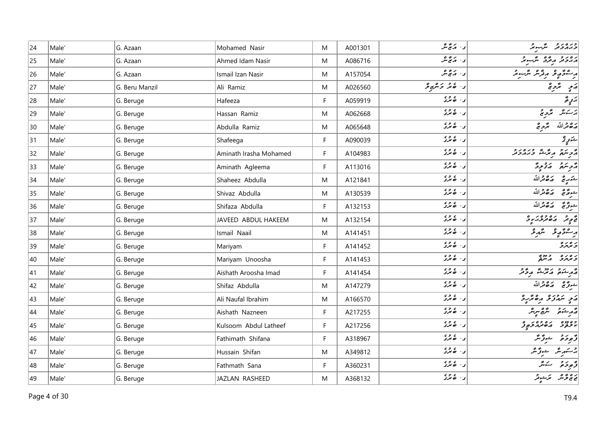| 24 | Male' | G. Azaan       | Mohamed Nasir          | M         | A001301 | ئ. مَءٌ مَرْ                         | ورەرو شهر                                       |
|----|-------|----------------|------------------------|-----------|---------|--------------------------------------|-------------------------------------------------|
| 25 | Male' | G. Azaan       | Ahmed Idam Nasir       | ${\sf M}$ | A086716 | ئ. مَەنچىتر                          | رەرد مەدە ئەبدىر                                |
| 26 | Male' | G. Azaan       | Ismail Izan Nasir      | M         | A157054 | ئ ئەنچ نىگە                          | أرجعتم ويحمد ونقريبه للمستقر                    |
| 27 | Male' | G. Beru Manzil | Ali Ramiz              | M         | A026560 | <sub>ى</sub> ھىڭ خىشبې بى            | $rac{1}{6}$ $rac{1}{6}$ $rac{1}{6}$             |
| 28 | Male' | G. Beruge      | Hafeeza                | F         | A059919 | ے و ۽<br>ي- ھمجري                    | بزوچٌ                                           |
| 29 | Male' | G. Beruge      | Hassan Ramiz           | ${\sf M}$ | A062668 | ے و ۽<br>ي- ھمجري                    | بر کے مگرم تحریج                                |
| 30 | Male' | G. Beruge      | Abdulla Ramiz          | ${\sf M}$ | A065648 | ے وے<br>یہ ت <i>ھ بو</i> ی           | أرة قرالله محرج مح                              |
| 31 | Male' | G. Beruge      | Shafeega               | F         | A090039 | ے و ۽<br>ي- ھمجري                    | شَرَوٍ تَرُ                                     |
| 32 | Male' | G. Beruge      | Aminath Irasha Mohamed | F         | A104983 | <br>  ی۰ ن مهری                      | أدوسه أرشت وبرود                                |
| 33 | Male' | G. Beruge      | Aminath Agleema        | F         | A113016 | ے وی<br>ی <sup>.</sup> خ <i>م</i> ری | أأزويتهم أأتوفيو                                |
| 34 | Male' | G. Beruge      | Shaheez Abdulla        | M         | A121841 | ے و ۽<br>ي- ھمجري                    | شكريم كده قرالله                                |
| 35 | Male' | G. Beruge      | Shivaz Abdulla         | M         | A130539 | ے وے<br>یہ ت <i>ھیں</i>              | شو <i>قع مگ</i> وندالله                         |
| 36 | Male' | G. Beruge      | Shifaza Abdulla        | F         | A132153 | ے و ۽<br>ي- ھمجري                    | شورَّیِّ مَصْحَراللّه                           |
| 37 | Male' | G. Beruge      | JAVEED ABDUL HAKEEM    | ${\sf M}$ | A132154 | ے وی<br>ی <sup>.</sup> خ <i>م</i> ری | قي قر مان ده وه در بان                          |
| 38 | Male' | G. Beruge      | Ismail Naail           | ${\sf M}$ | A141451 | ے و ۽<br>ي- ھمجري                    | أرجع وقرقه المتمرقر                             |
| 39 | Male' | G. Beruge      | Mariyam                | F         | A141452 | ے و ۽<br>ي- ھمجري                    | ر ه ر ه<br><del>و</del> بربرو                   |
| 40 | Male' | G. Beruge      | Mariyam Unoosha        | F         | A141453 | ے و ۽<br>ي- ھمجري                    | ر ه ره د وده.<br>د بر رحمه د برخ                |
| 41 | Male' | G. Beruge      | Aishath Aroosha Imad   | F         | A141454 | ے وی<br>ی <sup>.</sup> خ <i>م</i> ری | أقهر شوه أوجودها المركائر                       |
| 42 | Male' | G. Beruge      | Shifaz Abdulla         | ${\sf M}$ | A147279 | ے و ۽<br>ي- ھمجري                    | خورج مكاني                                      |
| 43 | Male' | G. Beruge      | Ali Naufal Ibrahim     | M         | A166570 | ے وی<br>ی- تھ بمری                   | ړنې شرورو موځ ده                                |
| 44 | Male' | G. Beruge      | Aishath Nazneen        | F         | A217255 | ے و ۽<br>ي- ھمجري                    | د د شوه مستور مورد است.<br>مقدم شوه مستعمل میرس |
| 45 | Male' | G. Beruge      | Kulsoom Abdul Latheef  | F         | A217256 | ے وے<br>ی- <b>ص</b> مری              | 20100 10707<br>מציב השנגציפ צ                   |
| 46 | Male' | G. Beruge      | Fathimath Shifana      | F         | A318967 | ے وے<br>ی- ت <i>ھ بو</i> ی           | أرتموخا وشورتكر                                 |
| 47 | Male' | G. Beruge      | Hussain Shifan         | ${\sf M}$ | A349812 | ے و ۽<br>ي- ھمجري                    | چرىكىرى <i>گە</i> شو <i>ۋى</i> گە               |
| 48 | Male' | G. Beruge      | Fathmath Sana          | F         | A360231 | ے وے<br>ی- <b>ص</b> مری              | توجدة سكتر                                      |
| 49 | Male' | G. Beruge      | JAZLAN RASHEED         | ${\sf M}$ | A368132 | ے وے<br>یہ ت <i>ھیں</i>              | ئے پھر کھیے گھر میں کھیے تھی                    |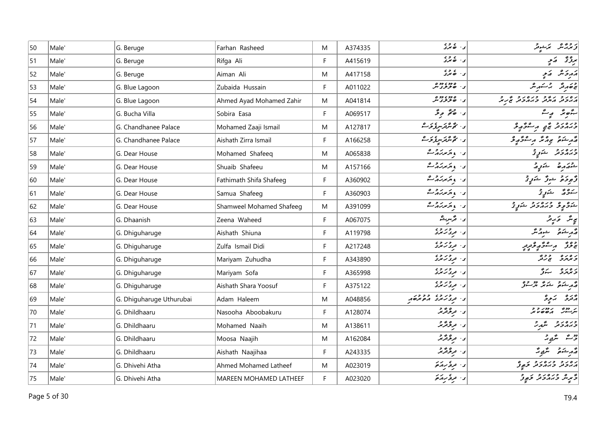| 50 | Male' | G. Beruge                | Farhan Rasheed           | M         | A374335 | ے و ۽<br>ي- ھنجري                               | و وه ه پرشید                                   |
|----|-------|--------------------------|--------------------------|-----------|---------|-------------------------------------------------|------------------------------------------------|
| 51 | Male' | G. Beruge                | Rifga Ali                | F         | A415619 | ے و ۽<br>ي- ھمجري                               | بروژ <sub>مک</sub> ر                           |
| 52 | Male' | G. Beruge                | Aiman Ali                | M         | A417158 | ح و ځ<br>ي گه مخري                              | مەد ئە                                         |
| 53 | Male' | G. Blue Lagoon           | Zubaida Hussain          | F         | A011022 | ه دوم دوه<br>د ۱ ه <del>تر و</del> د س          | جەمەت جەسىم                                    |
| 54 | Male' | G. Blue Lagoon           | Ahmed Ayad Mohamed Zahir | M         | A041814 | ه دوم دوه.<br>د ۱ گاه مونو د س                  | נסגב גזיך כנסגב זיך ב<br>הגבע, התע, כגהכע, זיק |
| 55 | Male' | G. Bucha Villa           | Sobira Easa              | F         | A069517 | ى گەنۇ بوڭر                                     | أيتوثر ويثر                                    |
| 56 | Male' | G. Chandhanee Palace     | Mohamed Zaaji Ismail     | ${\sf M}$ | A127817 | <sub>ى</sub> ، ئۇ ئىرتىرىت <sub>ىر</sub> ئۇ ئەت |                                                |
| 57 | Male' | G. Chandhanee Palace     | Aishath Zirra Ismail     | F         | A166258 | <sub>ى</sub> ، ئۇشرىترىتونۇرىشە                 | ومستوفر برومز وبالمؤربو                        |
| 58 | Male' | G. Dear House            | Mohamed Shafeeq          | M         | A065838 | ى ، بە ئ <i>ۆتىرىگە</i> گ                       | ورەرو شۆرچ                                     |
| 59 | Male' | G. Dear House            | Shuaib Shafeeu           | M         | A157166 | ى ، بە ئ <i>ۆيرىدى</i> گ                        | شمهده شرور                                     |
| 60 | Male' | G. Dear House            | Fathimath Shifa Shafeeg  | F         | A360902 | ى ، بە ئ <i>ەرىرى</i> گە شە                     | و گروه شرو څوړنی                               |
| 61 | Male' | G. Dear House            | Samua Shafeeg            | F         | A360903 | ، ويزبرزه مش                                    | أَسْتَرَحْمُ السُّورِيْنَ                      |
| 62 | Male' | G. Dear House            | Shamweel Mohamed Shafeeg | ${\sf M}$ | A391099 | ء ويزبر برقر م                                  | جنوحٍ و د و د و د خوړ څ                        |
| 63 | Male' | G. Dhaanish              | Zeena Waheed             | F         | A067075 | <mark>ء - تَرْسِرِ -</mark>                     | ىم ئىگە ئەر ئەر                                |
| 64 | Male' | G. Dhiguharuge           | Aishath Shiuna           | F         | A119798 |                                                 | $rac{2}{\sqrt{2}}$                             |
| 65 | Male' | G. Dhiguharuge           | Zulfa Ismail Didi        | F         | A217248 | <sub>ی</sub> . مر <sub>ی</sub> حر و ی           | ا دور مرگز موسومبر<br>محرک مرگز موسومبر        |
| 66 | Male' | G. Dhiguharuge           | Mariyam Zuhudha          | F         | A343890 | ا د ۰ قرر <i>۶ و ۶ و ۹</i>                      | ره ره دور                                      |
| 67 | Male' | G. Dhiguharuge           | Mariyam Sofa             | F         | A365998 | <sub>ی</sub> . مرد ژبر و پ                      | رەرە بەۋ                                       |
| 68 | Male' | G. Dhiguharuge           | Aishath Shara Yoosuf     | F         | A375122 |                                                 | ه در در در در ده<br>در شوه شوش در سو           |
| 69 | Male' | G. Dhiguharuge Uthurubai | Adam Haleem              | M         | A048856 |                                                 | ړ ترو د پرو                                    |
| 70 | Male' | G. Dhildhaaru            | Nasooha Aboobakuru       | F         | A128074 | ر . مروکر <sub>یمر</sub>                        | ת ממי המוני כי                                 |
| 71 | Male' | G. Dhildhaaru            | Mohamed Naaih            | M         | A138611 | ء و و و د د                                     | ورەرو شەر                                      |
| 72 | Male' | G. Dhildhaaru            | Moosa Naajih             | ${\sf M}$ | A162084 | ء و و و د د                                     | وژنځ ش <sub>ک</sub> وبر                        |
| 73 | Male' | G. Dhildhaaru            | Aishath Naajihaa         | F         | A243335 | <sub>ى</sub> بەرگەنگە                           | قەرشۇق سىھ بە                                  |
| 74 | Male' | G. Dhivehi Atha          | Ahmed Mohamed Latheef    | M         | A023019 | ء مورة سرة بحر                                  | ره رو وره رو دره<br>مدونر وبرمانر ترج          |
| 75 | Male' | G. Dhivehi Atha          | MAREEN MOHAMED LATHEEF   | F         | A023020 | <sub>ى مو</sub> ة رىمى                          | و دره در در و د و د                            |
|    |       |                          |                          |           |         |                                                 |                                                |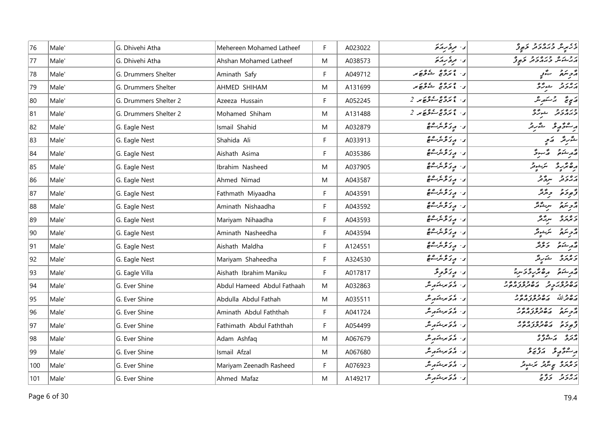| 76  | Male' | G. Dhivehi Atha       | Mehereen Mohamed Latheef   | F         | A023022 | ء موقريرة                                       | وكرير مردد والمحافي                                                 |
|-----|-------|-----------------------|----------------------------|-----------|---------|-------------------------------------------------|---------------------------------------------------------------------|
| 77  | Male' | G. Dhivehi Atha       | Ahshan Mohamed Latheef     | M         | A038573 | ء موغرمەتم                                      | رويده وره رو نوره                                                   |
| 78  | Male' | G. Drummers Shelter   | Aminath Safy               | F.        | A049712 | د . و د ده و . وه د .<br>د . و مرد م . شوخ ه مر | أزدينهم يثبي                                                        |
| 79  | Male' | G. Drummers Shelter   | AHMED SHIHAM               | M         | A131699 | ى قائدە ئەرەبىر                                 | أرەر ئىرگە                                                          |
| 80  | Male' | G. Drummers Shelter 2 | Azeeza Hussain             | F         | A052245 | ە دەھ دەھ كەرەكتە 2.<br>ئەسىرى سىرى كەر         | أرسم سي من المستور مثل                                              |
| 81  | Male' | G. Drummers Shelter 2 | Mohamed Shiham             | M         | A131488 | $2 - 2 - 2 - 3 - 3$                             | ورەر دېم شورگ                                                       |
| 82  | Male' | G. Eagle Nest         | Ismail Shahid              | ${\sf M}$ | A032879 | ى پەنۇشرىقى                                     | وستوصف تقرير                                                        |
| 83  | Male' | G. Eagle Nest         | Shahida Ali                | F         | A033913 | ى بەر ئەر ش                                     | شرير مهر                                                            |
| 84  | Male' | G. Eagle Nest         | Aishath Asima              | F         | A035386 | ء <sub>" م</sub> رى مى مەھ                      | أمار منكار وأسبوكم                                                  |
| 85  | Male' | G. Eagle Nest         | Ibrahim Nasheed            | M         | A037905 | ى بەر ئەر مەھ                                   | أرە ئۇرۇ سىشىق                                                      |
| 86  | Male' | G. Eagle Nest         | Ahmed Nimad                | M         | A043587 | ى بەر ئەس سەھ                                   | 1910 - 1914<br>הגבת יובת                                            |
| 87  | Male' | G. Eagle Nest         | Fathmath Miyaadha          | F         | A043591 | ء پروترے و                                      | وً و دَوَ و دَرْتَر                                                 |
| 88  | Male' | G. Eagle Nest         | Aminath Nishaadha          | F         | A043592 | ی٠ در دو ع وه                                   | أأترجم تتراكم والمستحقر                                             |
| 89  | Male' | G. Eagle Nest         | Mariyam Nihaadha           | F         | A043593 | ی٠ دری۶ شرق شرح                                 | دەرە سەرگە                                                          |
| 90  | Male' | G. Eagle Nest         | Aminath Nasheedha          | F         | A043594 | ی٠ در دو ع وه                                   | أمزح سكرة التكريكر                                                  |
| 91  | Male' | G. Eagle Nest         | Aishath Maldha             | F         | A124551 | ى بەر ئەر ش                                     | وأرشكم وتوثر                                                        |
| 92  | Male' | G. Eagle Nest         | Mariyam Shaheedha          | F         | A324530 | ى بەر ئەر مەھ                                   | رەرە خىرىگە                                                         |
| 93  | Male' | G. Eagle Villa        | Aishath Ibrahim Maniku     | F         | A017817 | ء پر وگوگر                                      | הובים ופתיכלית                                                      |
| 94  | Male' | G. Ever Shine         | Abdul Hameed Abdul Fathaah | M         | A032863 | <sub>ی</sub> کمرکار میکرینگر                    | ره وه رحد ده وه ره و <del>ج</del><br>پره تر <i>و برخ و پر و و د</i> |
| 95  | Male' | G. Ever Shine         | Abdulla Abdul Fathah       | M         | A035511 | ى بەر كەنچە بىر شى                              | ره والله به صوره دو د<br>په صغرالله به صغر موجود                    |
| 96  | Male' | G. Ever Shine         | Aminath Abdul Faththah     | F         | A041724 | ى بىر كەرشكىرىش                                 | و در دره ده ده دره و د                                              |
| 97  | Male' | G. Ever Shine         | Fathimath Abdul Faththah   | F         | A054499 | ى بەرگە ئەرسىگەرىش                              | و ده ده ده ده ده و                                                  |
| 98  | Male' | G. Ever Shine         | Adam Ashfaq                | ${\sf M}$ | A067679 | ى <i>سىمى ئىرىشكەر</i> بىر                      | پوره پره ده<br>د ترو                                                |
| 99  | Male' | G. Ever Shine         | Ismail Afzal               | M         | A067680 | ى بەر كەنچە بەشكەر بىر                          | ر عۇرپۇ بەر بو                                                      |
| 100 | Male' | G. Ever Shine         | Mariyam Zeenadh Rasheed    | F         | A076923 | ء کے مرشکورنگر                                  | د ۱۶٫۵ پر نگرد بگر شونگر                                            |
| 101 | Male' | G. Ever Shine         | Ahmed Mafaz                | ${\sf M}$ | A149217 | <sub>ى م</sub> ەكەبرىشكەرلىش                    | رەر دۇر                                                             |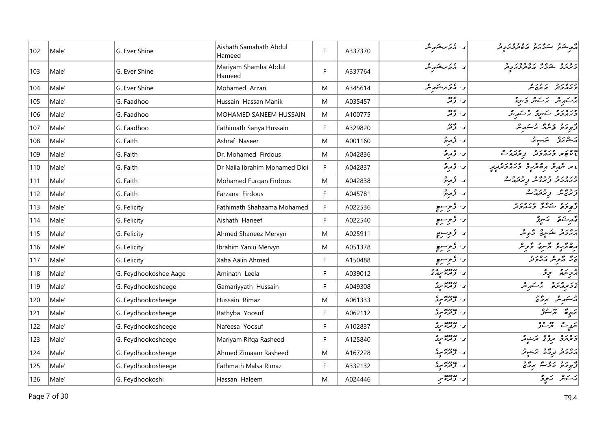| 102 | Male' | G. Ever Shine         | Aishath Samahath Abdul<br>Hameed | F           | A337370 | ئ سىمى ئىرىشكەرلىش           | و د د دوره ده ده ده د د<br>وگه شوه سوده ماه دخود د د                                                             |
|-----|-------|-----------------------|----------------------------------|-------------|---------|------------------------------|------------------------------------------------------------------------------------------------------------------|
| 103 | Male' | G. Ever Shine         | Mariyam Shamha Abdul<br>Hameed   | $\mathsf F$ | A337764 | ء کی مخاطر میں میں           | ر ه ر ه د ر ه د ر ه و ه ر و<br>د بر رو شوور ماه تروپروتر                                                         |
| 104 | Male' | G. Ever Shine         | Mohamed Arzan                    | M           | A345614 | ى بەرگە ئەستەمەش             | כנסנכ נכנס                                                                                                       |
| 105 | Male' | G. Faadhoo            | Hussain Hassan Manik             | M           | A035457 | ر به مح <sup>ود</sup><br>ر گ | يمسكريش المرسكس كالبرج                                                                                           |
| 106 | Male' | G. Faadhoo            | MOHAMED SANEEM HUSSAIN           | M           | A100775 | ء سمج ود<br>تر تو تعر        | ورەرو سەرو رئىكرىگ                                                                                               |
| 107 | Male' | G. Faadhoo            | Fathimath Sanya Hussain          | F           | A329820 | ى بەردىم                     | توجوحو ومروثه برسكر                                                                                              |
| 108 | Male' | G. Faith              | Ashraf Naseer                    | M           | A001160 | ى كۆمەتتى                    | ەكشەندى سكىبىدىم                                                                                                 |
| 109 | Male' | G. Faith              | Dr. Mohamed Firdous              | M           | A042836 | ى ئەدە                       | <b>צפע כנפנק נ</b> דנק פ                                                                                         |
| 110 | Male' | G. Faith              | Dr Naila Ibrahim Mohamed Didi    | F.          | A042837 | ای و گرمو                    | ٤ × شهر و ماه مرکز و دره در و در در                                                                              |
| 111 | Male' | G. Faith              | Mohamed Furgan Firdous           | M           | A042838 | ى كۆمەتتى                    | ورەرد دودە وردوره                                                                                                |
| 112 | Male' | G. Faith              | Farzana Firdous                  | F.          | A045781 | ى كۆمەتتى                    | ز دی مگر په در در ه                                                                                              |
| 113 | Male' | G. Felicity           | Fathimath Shahaama Mohamed       | F.          | A022536 | ء قروسهج                     | و رو شروه وره رو                                                                                                 |
| 114 | Male' | G. Felicity           | Aishath Haneef                   | F           | A022540 | ء وتوسيط                     | أقار خكم أأسرو                                                                                                   |
| 115 | Male' | G. Felicity           | Ahmed Shaneez Mervyn             | M           | A025911 | - كوسيع                      | رەر دىكىرى ئور                                                                                                   |
| 116 | Male' | G. Felicity           | Ibrahim Yaniu Mervyn             | M           | A051378 | - كوسيع                      | معتبرة مزميد ذويد                                                                                                |
| 117 | Male' | G. Felicity           | Xaha Aalin Ahmed                 | F.          | A150488 | ء کومبیع                     | ة مجمع معدد المستحدة                                                                                             |
| 118 | Male' | G. Feydhookoshee Aage | Aminath Leela                    | F.          | A039012 | בי נבחבר בי<br>ג' נבקע תחב   | أأروبتهم ويزمحه                                                                                                  |
| 119 | Male' | G. Feydhookosheege    | Gamariyyath Hussain              | F.          | A049308 | ر میرویو د<br>د و تر د مرد   | تورىرە ئەسىر ئىسكىر                                                                                              |
| 120 | Male' | G. Feydhookosheege    | Hussain Rimaz                    | M           | A061333 | ر بردوبر ر<br>د ژور سرد      | جسكر مردمج                                                                                                       |
| 121 | Male' | G. Feydhookosheege    | Rathyba Yoosuf                   | F           | A062112 |                              | $\frac{1}{\begin{pmatrix} 0 & 2 \\ 2 & -1 \end{pmatrix}} \frac{1}{\begin{pmatrix} 0 & 2 \\ 0 & 0 \end{pmatrix}}$ |
| 122 | Male' | G. Feydhookosheege    | Nafeesa Yoosuf                   | F.          | A102837 |                              | يندي هم در دوم                                                                                                   |
| 123 | Male' | G. Feydhookosheege    | Mariyam Rifqa Rasheed            | F.          | A125840 | ر میرویو د<br>د و تر د مرد   | د ۱۳۶۶ مرونځ نرسونه                                                                                              |
| 124 | Male' | G. Feydhookosheege    | Ahmed Zimaam Rasheed             | M           | A167228 | ء بي دومو ري<br>و گونرما مړي | رود و ولا ترشی                                                                                                   |
| 125 | Male' | G. Feydhookosheege    | Fathmath Malsa Rimaz             | F           | A332132 |                              | ژُودَه دوگ بردٌ و                                                                                                |
| 126 | Male' | G. Feydhookoshi       | Hassan Haleem                    | M           | A024446 | ر مصر برد بر<br>ر کو تو د م  | ىرىكەش ئەبرۇ                                                                                                     |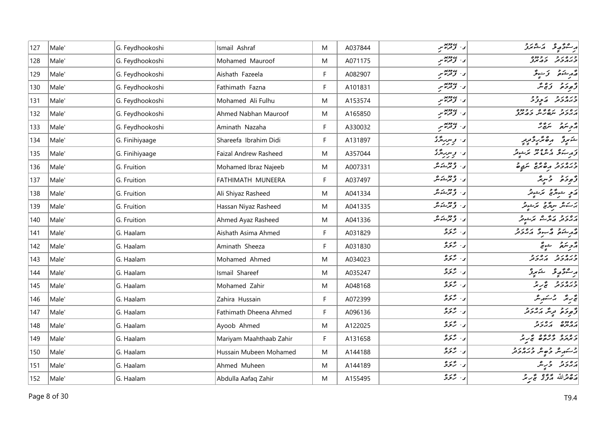| 127 | Male' | G. Feydhookoshi | Ismail Ashraf                | M           | A037844 | ء مصر دومبر<br>ا د از قرم س         | ر شۇر ئەر ئەشمۇر                                                                |
|-----|-------|-----------------|------------------------------|-------------|---------|-------------------------------------|---------------------------------------------------------------------------------|
| 128 | Male' | G. Feydhookoshi | Mohamed Mauroof              | M           | A071175 | ر مصر برد بر<br>ر کوتر <i>ما</i> مر | כנסנכ נכחם<br><i>כג</i> ובט בו <i>גינ</i>                                       |
| 129 | Male' | G. Feydhookoshi | Aishath Fazeela              | $\mathsf F$ | A082907 | –<br>ئ- گۇلىرىم س                   | ەرەبىئە ئەسىر                                                                   |
| 130 | Male' | G. Feydhookoshi | Fathimath Fazna              | F           | A101831 |                                     | وٌجِوحَمَ وَجَءَّ                                                               |
| 131 | Male' | G. Feydhookoshi | Mohamed Ali Fulhu            | M           | A153574 | ر می دومد<br>ر کوفرن مر             | כנים ביתורב                                                                     |
| 132 | Male' | G. Feydhookoshi | Ahmed Nabhan Mauroof         | M           | A165850 | ر مصر دومبر<br>د اگر تو تعریف می    | ג ם ג כ ג ס גים ג כ ככם<br>ג ג כ ב ב <sub>מג</sub> ם <i>ג شر</i> ב ג <i>ב ב</i> |
| 133 | Male' | G. Feydhookoshi | Aminath Nazaha               | F.          | A330032 | ر به دومو<br>ر کوترما مر            | أأوبتكم الترميم                                                                 |
| 134 | Male' | G. Finihiyaage  | Shareefa Ibrahim Didi        | $\mathsf F$ | A131897 | ی- و سربر پژی                       | شَهِرِزٌ   رەڭرىر9دىرىر                                                         |
| 135 | Male' | G. Finihiyaage  | <b>Faizal Andrew Rasheed</b> | M           | A357044 | ی- و سربر پری<br> - مسربر پر        | تەرىبىق كەمەم برخون                                                             |
| 136 | Male' | G. Fruition     | Mohamed Ibraz Najeeb         | M           | A007331 | ى بەردىسكەنگە                       | ورەرو مەم ئە ئىر                                                                |
| 137 | Male' | G. Fruition     | FATHIMATH MUNEERA            | F           | A037497 | ى بۇ قۇشكەنلە                       | ژوده دسر                                                                        |
| 138 | Male' | G. Fruition     | Ali Shiyaz Rasheed           | M           | A041334 | ى ئۇنزىشكەش                         | أرسمي الشوارج أتراشوند                                                          |
| 139 | Male' | G. Fruition     | Hassan Niyaz Rasheed         | M           | A041335 | ى بۇ چېمىشكەنلە                     | يُرَسُوشُ سِرْدَةٍ مُرْشَوْتُر                                                  |
| 140 | Male' | G. Fruition     | Ahmed Ayaz Rasheed           | M           | A041336 | ى قۇتترىشكەنگە                      | ره ر و بر و مر شوتر<br>پرچونز به بر مرشوتر                                      |
| 141 | Male' | G. Haalam       | Aishath Asima Ahmed          | $\mathsf F$ | A031829 | ى گۇۋ                               | مەم شەھ كەسىرى كەردى                                                            |
| 142 | Male' | G. Haalam       | Aminath Sheeza               | $\mathsf F$ | A031830 | ى بەرگەنى                           | أرمح سنوسج                                                                      |
| 143 | Male' | G. Haalam       | Mohamed Ahmed                | M           | A034023 | ى بەرگەنى بىر                       | כנסנכ נסנכ<br>כגמכ <mark>נג ה</mark> גכנג                                       |
| 144 | Male' | G. Haalam       | Ismail Shareef               | M           | A035247 | ى بەرگەنى بىر                       | ر جۇرپۇ سىر                                                                     |
| 145 | Male' | G. Haalam       | Mohamed Zahir                | M           | A048168 | ى بەرگەنى بىر                       | وره دو ځريز                                                                     |
| 146 | Male' | G. Haalam       | Zahira Hussain               | $\mathsf F$ | A072399 | ى بەرگەنى بىر                       | تجرىتم بركستهرىتل                                                               |
| 147 | Male' | G. Haalam       | Fathimath Dheena Ahmed       | F           | A096136 | ى بەرگەنى                           | و دو په ده ده.                                                                  |
| 148 | Male' | G. Haalam       | Ayoob Ahmed                  | M           | A122025 | ى بەرگەنى                           | ג ס הם ניסיג כ                                                                  |
| 149 | Male' | G. Haalam       | Mariyam Maahthaab Zahir      | F           | A131658 | ى بەرگەنى بىر                       |                                                                                 |
| 150 | Male' | G. Haalam       | Hussain Mubeen Mohamed       | M           | A144188 | ى بەرگەنى بىر                       | 2 האול 2007 ביום גבוריה<br>גרייקו מים יש ביום ביום                              |
| 151 | Male' | G. Haalam       | Ahmed Muheen                 | M           | A144189 | ى گرۇ                               | ره دو در می<br>ام <sup>ر</sup> دو در می                                         |
| 152 | Male' | G. Haalam       | Abdulla Aafaq Zahir          | M           | A155495 | ى بەرگەنى                           | رە قەللە مەۋى ئى بەر                                                            |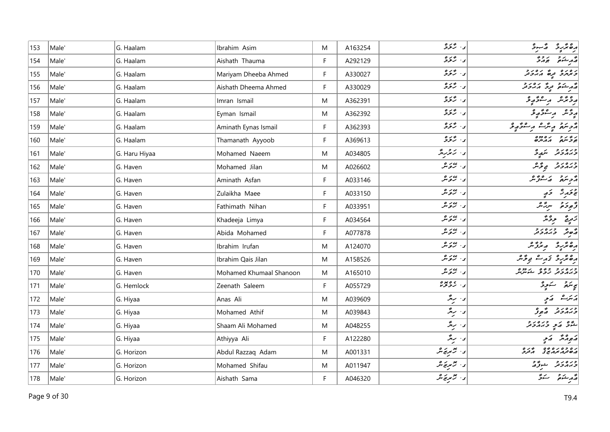| 153 | Male' | G. Haalam     | Ibrahim Asim            | M         | A163254 | ى گۇۋ                             | $\begin{array}{cc} 0 & 0 & 0 & 0 \\ 0 & -\frac{1}{2} & \frac{1}{2} & \frac{1}{2} \\ 0 & 0 & \frac{1}{2} & \frac{1}{2} \end{array}$ |
|-----|-------|---------------|-------------------------|-----------|---------|-----------------------------------|------------------------------------------------------------------------------------------------------------------------------------|
| 154 | Male' | G. Haalam     | Aishath Thauma          | F         | A292129 | ى بەرگەنى                         | أمر المستوفي المرواة                                                                                                               |
| 155 | Male' | G. Haalam     | Mariyam Dheeba Ahmed    | F         | A330027 | ى بەرگەنى                         | ر وره دره برورد                                                                                                                    |
| 156 | Male' | G. Haalam     | Aishath Dheema Ahmed    | F         | A330029 | ى بەرگەنى                         | أو المستوفي والمستحدث المستحدث                                                                                                     |
| 157 | Male' | G. Haalam     | Imran Ismail            | ${\sf M}$ | A362391 | ى بەرگەنى                         | ودنمرس وعؤوفه                                                                                                                      |
| 158 | Male' | G. Haalam     | Eyman Ismail            | M         | A362392 | اء : رَّتَوَوَّ                   | أروحش المستوقية                                                                                                                    |
| 159 | Male' | G. Haalam     | Aminath Eynas Ismail    | F         | A362393 | ى گۇۋ                             | و درو مشر مستوفی                                                                                                                   |
| 160 | Male' | G. Haalam     | Thamanath Ayyoob        | F         | A369613 | ى گۇۋ                             | ג ם בבם<br>1 <i>ג</i> 1 <i>ג</i> רש<br>ر و ر د<br>جو شرح                                                                           |
| 161 | Male' | G. Haru Hiyaa | Mohamed Naeem           | ${\sf M}$ | A034805 | ى - كەنجەرىگە                     | ورەرو شھرى                                                                                                                         |
| 162 | Male' | G. Haven      | Mohamed Jilan           | ${\sf M}$ | A026602 | ى بىر ھ                           | وبرورو يرؤش                                                                                                                        |
| 163 | Male' | G. Haven      | Aminath Asfan           | F         | A033146 | ى بىر ھ                           | أأروبتهم أركاه ومحده                                                                                                               |
| 164 | Male' | G. Haven      | Zulaikha Maee           | F         | A033150 | ى بىم ئەھر                        | تحكير تكمي                                                                                                                         |
| 165 | Male' | G. Haven      | Fathimath Nihan         | F         | A033951 | ى بىر ھ                           | و و دو سرگند                                                                                                                       |
| 166 | Male' | G. Haven      | Khadeeja Limya          | F         | A034564 | ى بىم ھە                          | رَمَّةٍ وِوْتَرُ                                                                                                                   |
| 167 | Male' | G. Haven      | Abida Mohamed           | F         | A077878 | ى بىر ھ                           | أشهد وره رو                                                                                                                        |
| 168 | Male' | G. Haven      | Ibrahim Irufan          | ${\sf M}$ | A124070 | ى بىر ھ                           | أرەنزىر ھېرزىر                                                                                                                     |
| 169 | Male' | G. Haven      | Ibrahim Qais Jilan      | M         | A158526 | ى بىر ھ                           | ړەپر پوتو تەر ئوپۇس                                                                                                                |
| 170 | Male' | G. Haven      | Mohamed Khumaal Shanoon | M         | A165010 | ى بىر ھ                           | ورەر د دەپ كەندە<br><i>دىمەدەن ئ</i> ەرگە شەس                                                                                      |
| 171 | Male' | G. Hemlock    | Zeenath Saleem          | F         | A055729 | ی عروجون<br><sub>م</sub> ی گروگون | يې ئىر ئىم يە ئىم ئەرگە                                                                                                            |
| 172 | Male' | G. Hiyaa      | Anas Ali                | ${\sf M}$ | A039609 | ى - رېژ                           | أريترث أركمي                                                                                                                       |
| 173 | Male' | G. Hiyaa      | Mohamed Athif           | ${\sf M}$ | A039843 | ی رنگ                             | وره د و د محمومی                                                                                                                   |
| 174 | Male' | G. Hiyaa      | Shaam Ali Mohamed       | M         | A048255 | ی رنگ                             | 2012 وترەپر د                                                                                                                      |
| 175 | Male' | G. Hiyaa      | Athiyya Ali             | F         | A122280 | ی رنگ                             | أمجمه مشاهيم أمسيح                                                                                                                 |
| 176 | Male' | G. Horizon    | Abdul Razzaq Adam       | ${\sf M}$ | A001331 | ى جىمىي ش                         |                                                                                                                                    |
| 177 | Male' | G. Horizon    | Mohamed Shifau          | M         | A011947 | ]<br>  <sub>ی</sub> . سمبر پر کر  | 22,012 בינצה<br>בגריכת בינצה                                                                                                       |
| 178 | Male' | G. Horizon    | Aishath Sama            | F         | A046320 | ى بەسىم ئەشر                      | $\frac{2}{3}$                                                                                                                      |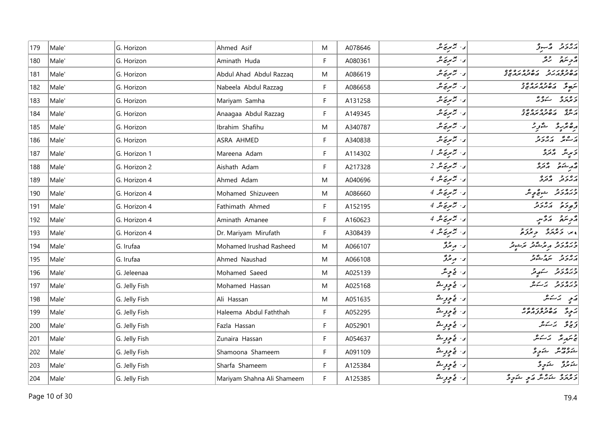| 179 | Male' | G. Horizon    | Ahmed Asif                 | M           | A078646 | ئ مع سرىج مىگر                       | دەرو ھەيدۇ                                                                                                     |
|-----|-------|---------------|----------------------------|-------------|---------|--------------------------------------|----------------------------------------------------------------------------------------------------------------|
| 180 | Male' | G. Horizon    | Aminath Huda               | F.          | A080361 | ئ-ئىخ بىرىچ مىگە                     | ړ څخه رقر                                                                                                      |
| 181 | Male' | G. Horizon    | Abdul Ahad Abdul Razzaq    | M           | A086619 | ئ مع سرىج مىگر                       |                                                                                                                |
| 182 | Male' | G. Horizon    | Nabeela Abdul Razzag       | F.          | A086658 | ئ-ئىخ بىرىج تىر                      | سمه محمد موجده در در در جانبر<br>سمه محمد محمد محمد محمد                                                       |
| 183 | Male' | G. Horizon    | Mariyam Samha              | F           | A131258 | ء به مخبر پر چم                      | رەرە بەەپ                                                                                                      |
| 184 | Male' | G. Horizon    | Anaagaa Abdul Razzag       | $\mathsf F$ | A149345 | ، سی میں میں میں<br>میں میں میں میں  | ر معد ده وه ره د و<br>مستق                                                                                     |
| 185 | Male' | G. Horizon    | Ibrahim Shafihu            | M           | A340787 | ، سیمبر <sub>ی</sub> مبر<br>مسر      |                                                                                                                |
| 186 | Male' | G. Horizon    | ASRA AHMED                 | $\mathsf F$ | A340838 | ، سیمبر می مگر<br>م                  | بر عبر بره د و                                                                                                 |
| 187 | Male' | G. Horizon 1  | Mareena Adam               | $\mathsf F$ | A114302 | $1$ په مخبوبچ مګر $\mid$             | كە ئەرە                                                                                                        |
| 188 | Male' | G. Horizon 2  | Aishath Adam               | $\mathsf F$ | A217328 | $2\sqrt{z}$ ىرىخ مىر 2 $\left $      | وكرمشكم المرفر                                                                                                 |
| 189 | Male' | G. Horizon 4  | Ahmed Adam                 | M           | A040696 | $4\,$ لاءِ مختصر کا ک                | بره بر به بره<br>پربروتر پرترو                                                                                 |
| 190 | Male' | G. Horizon 4  | Mohamed Shizuveen          | M           | A086660 | $4\,$ لاء محرسي مثر 4 $\,$           | ورەرو ھۇمچە بىر                                                                                                |
| 191 | Male' | G. Horizon 4  | Fathimath Ahmed            | $\mathsf F$ | A152195 | $4, 2, 3, 1, 2, 4$ ء ، حسیر پر کل    | د د د د د د د                                                                                                  |
| 192 | Male' | G. Horizon 4  | Aminath Amanee             | $\mathsf F$ | A160623 | ى سىمىرىمىگە 4                       | أأتر يترة الأكاسي                                                                                              |
| 193 | Male' | G. Horizon 4  | Dr. Mariyam Mirufath       | F           | A308439 | $4\,$ لاء محسوبه شركة $\,$           | גי במחבר במציב                                                                                                 |
| 194 | Male' | G. Irufaa     | Mohamed Irushad Rasheed    | M           | A066107 | ي. م. پروژ<br>                       | ورەرد مەرشۇر برشور                                                                                             |
| 195 | Male' | G. Irufaa     | Ahmed Naushad              | M           | A066108 | ای مریزو<br><u>است</u>               | رەرد شەرقىد                                                                                                    |
| 196 | Male' | G. Jeleenaa   | Mohamed Saeed              | M           | A025139 | ى قوچىگە                             | ورەرو بەر                                                                                                      |
| 197 | Male' | G. Jelly Fish | Mohamed Hassan             | M           | A025168 | د ا قم موږ ک                         | ورەرو پەسكىر                                                                                                   |
| 198 | Male' | G. Jelly Fish | Ali Hassan                 | M           | A051635 | ء ، قم پورٹ                          | أقدمي برسكون                                                                                                   |
| 199 | Male' | G. Jelly Fish | Haleema Abdul Faththah     | $\mathsf F$ | A052295 | ء ، قم پورٹ                          | ر و ده ده ده ده<br>پهچر ماه دخود ده د                                                                          |
| 200 | Male' | G. Jelly Fish | Fazla Hassan               | F           | A052901 | ار کا دیگر دیگر                      | ئۇچۇ ئەسكىر                                                                                                    |
| 201 | Male' | G. Jelly Fish | Zunaira Hassan             | $\mathsf F$ | A054637 | اء الأمورية                          | تحترير يمكن                                                                                                    |
| 202 | Male' | G. Jelly Fish | Shamoona Shameem           | $\mathsf F$ | A091109 | ء ، قم وٍ وِحدٌ                      | شەھەم شەرە                                                                                                     |
| 203 | Male' | G. Jelly Fish | Sharfa Shameem             | F.          | A125384 | ء ۽ ڇپوڪ                             | أشهرتم الشروع                                                                                                  |
| 204 | Male' | G. Jelly Fish | Mariyam Shahna Ali Shameem | F.          | A125385 | [ <sub>و</sub> . <sub>قح</sub> ورِ گ | و مرمره دره محر موسود در در در در استان در در استان در در استان در در استان در در استان در در استان در استان د |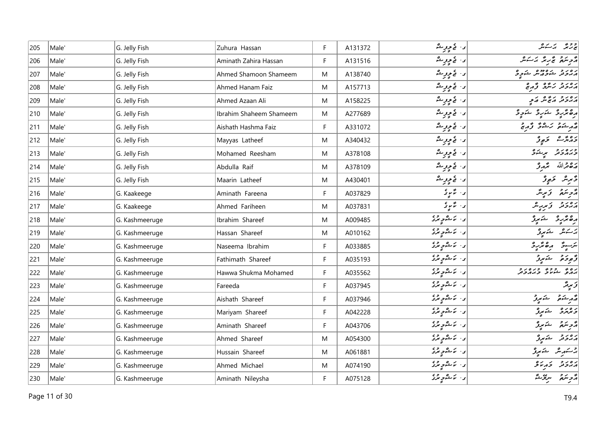| 205 | Male' | G. Jelly Fish  | Zuhura Hassan           | F         | A131372 | ء ، قي موبوڪ                                                                                                                                                                                                                                                                                                        | ەرجە ئەس <i>تە</i> ش                               |
|-----|-------|----------------|-------------------------|-----------|---------|---------------------------------------------------------------------------------------------------------------------------------------------------------------------------------------------------------------------------------------------------------------------------------------------------------------------|----------------------------------------------------|
| 206 | Male' | G. Jelly Fish  | Aminath Zahira Hassan   | F         | A131516 | ء ، قي موبو ڪ                                                                                                                                                                                                                                                                                                       | أأدوسها المجمر بكر بمسكن                           |
| 207 | Male' | G. Jelly Fish  | Ahmed Shamoon Shameem   | ${\sf M}$ | A138740 | <sub>و</sub> . غ <sub>مح</sub> ور <u>. ه</u>                                                                                                                                                                                                                                                                        | ره رو دره ده منوره                                 |
| 208 | Male' | G. Jelly Fish  | Ahmed Hanam Faiz        | M         | A157713 | 2.226                                                                                                                                                                                                                                                                                                               | رەرد رىژە ئەرى                                     |
| 209 | Male' | G. Jelly Fish  | Ahmed Azaan Ali         | M         | A158225 | ء ، قم وٍ وِ ڪ                                                                                                                                                                                                                                                                                                      | ג 2 ב ב ג 2 ב ב ב ב                                |
| 210 | Male' | G. Jelly Fish  | Ibrahim Shaheem Shameem | M         | A277689 | ء ، في وويده                                                                                                                                                                                                                                                                                                        | رەڭرىۋا خىرە خىرە                                  |
| 211 | Male' | G. Jelly Fish  | Aishath Hashma Faiz     | F         | A331072 | ء ، قم وٍ وِ ڪ                                                                                                                                                                                                                                                                                                      | ومرشع زمشوش ومرج                                   |
| 212 | Male' | G. Jelly Fish  | Mayyas Latheef          | ${\sf M}$ | A340432 | د . ق مور ش                                                                                                                                                                                                                                                                                                         | دە ئەر ئەر                                         |
| 213 | Male' | G. Jelly Fish  | Mohamed Reesham         | ${\sf M}$ | A378108 | .<br>  د ا قح موٍ <i>و د</i> ه                                                                                                                                                                                                                                                                                      | ورەر دېرىدە                                        |
| 214 | Male' | G. Jelly Fish  | Abdulla Raif            | M         | A378109 | ء ، قم وٍ وِ ڪ                                                                                                                                                                                                                                                                                                      | بمەدى<br>رەقراللە                                  |
| 215 | Male' | G. Jelly Fish  | Maarin Latheef          | M         | A430401 | د . ځ موړ ک                                                                                                                                                                                                                                                                                                         | دحمير محبوقر                                       |
| 216 | Male' | G. Kaakeege    | Aminath Fareena         | F         | A037829 | $\frac{1}{2}$ $\frac{1}{2}$ $\frac{1}{2}$ $\frac{1}{2}$ $\frac{1}{2}$                                                                                                                                                                                                                                               | أترج ينتقى فرسيتن                                  |
| 217 | Male' | G. Kaakeege    | Ahmed Fariheen          | M         | A037831 | $\frac{c}{\begin{array}{cc} c\\ \downarrow\\ \downarrow\\ \downarrow\\ \end{array}}\frac{c}{\sqrt{\begin{array}{c} c\\ \downarrow\\ \downarrow\\ \end{array}}\frac{c}{\sqrt{\begin{array}{c} c\\ \downarrow\\ \downarrow\\ \end{array}}\frac{c}{\sqrt{\begin{array}{c} c\\ \downarrow\\ \downarrow\\ \end{array}}}$ | رەرو<br>مەدىر ئ <i>ېرى</i> رىش                     |
| 218 | Male' | G. Kashmeeruge | Ibrahim Shareef         | ${\sf M}$ | A009485 | ى ئەشھەم يورى                                                                                                                                                                                                                                                                                                       | رەترىر شىر                                         |
| 219 | Male' | G. Kashmeeruge | Hassan Shareef          | ${\sf M}$ | A010162 | ى ئەشھۇمۇمى                                                                                                                                                                                                                                                                                                         | <br>  پرستمبر شمسیور                               |
| 220 | Male' | G. Kashmeeruge | Naseema Ibrahim         | F         | A033885 | <sub>ی</sub> گرېندي چې                                                                                                                                                                                                                                                                                              | بتر يوځ وه پر ده                                   |
| 221 | Male' | G. Kashmeeruge | Fathimath Shareef       | F         | A035193 | <sub>ی</sub> گرېندو پرې                                                                                                                                                                                                                                                                                             | أوُجوحَ مُحَسِّدِ وَ                               |
| 222 | Male' | G. Kashmeeruge | Hawwa Shukma Mohamed    | F         | A035562 | $\left  \begin{array}{cc} c_1 & c_2 \ c_2 & c_1 \end{array} \right $                                                                                                                                                                                                                                                | رەپ دوپ ورەرد<br>برادى شەندى <i>جە</i> برىتر       |
| 223 | Male' | G. Kashmeeruge | Fareeda                 | F         | A037945 | ى ئەشھۇمىرى                                                                                                                                                                                                                                                                                                         | ۇ برىگر                                            |
| 224 | Male' | G. Kashmeeruge | Aishath Shareef         | F         | A037946 | <sub>ی</sub> گرېندو پرې                                                                                                                                                                                                                                                                                             | وكرمشكم المشتمرة                                   |
| 225 | Male' | G. Kashmeeruge | Mariyam Shareef         | F         | A042228 | ى ئەھمەمى<br>ئ                                                                                                                                                                                                                                                                                                      | ر ه ر ه<br><del>و</del> بودر<br>ڪ مور ه<br>سنڌ مور |
| 226 | Male' | G. Kashmeeruge | Aminath Shareef         | F         | A043706 | <sub>ی</sub> گرگ و توسری                                                                                                                                                                                                                                                                                            | أأترجع الخامرير                                    |
| 227 | Male' | G. Kashmeeruge | Ahmed Shareef           | ${\sf M}$ | A054300 | $\left  \begin{array}{cc} c_1 & c_2 \ c_2 & c_1 \end{array} \right $                                                                                                                                                                                                                                                | أرور و المستمبرو                                   |
| 228 | Male' | G. Kashmeeruge | Hussain Shareef         | M         | A061881 | <sub>ی</sub> گرگ موجد دی                                                                                                                                                                                                                                                                                            | 2سىرىش ھىمبرو                                      |
| 229 | Male' | G. Kashmeeruge | Ahmed Michael           | M         | A074190 | $\left  \begin{array}{cc} c & 2 \\ 2 & 3 \end{array} \right.$ لار موسوع محرى                                                                                                                                                                                                                                        | أرور وبرزو                                         |
| 230 | Male' | G. Kashmeeruge | Aminath Nileysha        | F         | A075128 | ى ئەسىھ <i>چەرى</i>                                                                                                                                                                                                                                                                                                 | أأزجر سكر سريحن والمحر                             |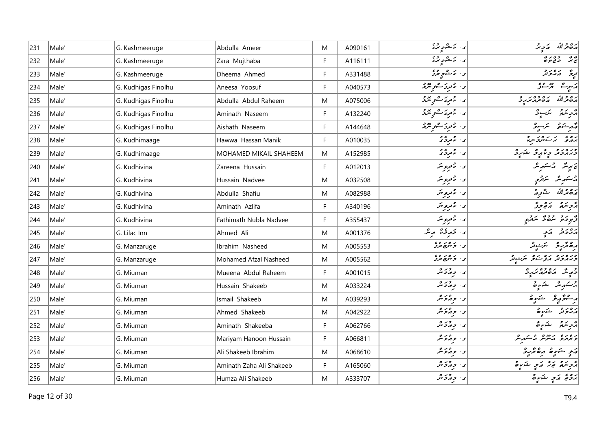| 231 | Male' | G. Kashmeeruge      | Abdulla Ameer            | M           | A090161 | <sub>ی</sub> گرگ و توپرۍ                      | أرة فرالله أرجية                                           |
|-----|-------|---------------------|--------------------------|-------------|---------|-----------------------------------------------|------------------------------------------------------------|
| 232 | Male' | G. Kashmeeruge      | Zara Mujthaba            | F           | A116111 | <sub>ی</sub> گرېندې چری                       | پر ده ده<br>نم تر دوه                                      |
| 233 | Male' | G. Kashmeeruge      | Dheema Ahmed             | $\mathsf F$ | A331488 | <sub>ی</sub> گرېندو پرې                       | ورځ د <i>ک</i> رو د و                                      |
| 234 | Male' | G. Kudhigas Finolhu | Aneesa Yoosuf            | E           | A040573 | <sub>ى</sub> ، ئ <sub>ى</sub> تورى سى تەرىپى  | ړ <sub>سرم</sub> ه د دره وه                                |
| 235 | Male' | G. Kudhigas Finolhu | Abdulla Abdul Raheem     | M           | A075006 | <sub>ى</sub> ، ئ <sub>ە</sub> تورى سىمو يېزىق | رە داللە ھەممەر دە                                         |
| 236 | Male' | G. Kudhigas Finolhu | Aminath Naseem           | F           | A132240 | ، ئ <sub>ە</sub> تەرىخ سەر بىر تە             | وحريرة الترسوف                                             |
| 237 | Male' | G. Kudhigas Finolhu | Aishath Naseem           | F           | A144648 | <sub>ى</sub> ، ئ <sub>ە</sub> تورى سىمو يېزىق | وأرشكم الكرسور                                             |
| 238 | Male' | G. Kudhimaage       | Hawwa Hassan Manik       | F           | A010035 | د ، موږد د ه                                  |                                                            |
| 239 | Male' | G. Kudhimaage       | MOHAMED MIKAIL SHAHEEM   | M           | A152985 | ء ، غږمونځو                                   | ورەرو چەرپى خېرى                                           |
| 240 | Male' | G. Kudhivina        | Zareena Hussain          | F           | A012013 | <sub>ی</sub> میموسکر                          | كيمبريتش برستوريش                                          |
| 241 | Male' | G. Kudhivina        | Hussain Nadvee           | M           | A032508 | <br> - س <sup>ع</sup> وره مئر                 | برسكور مكراتهم                                             |
| 242 | Male' | G. Kudhivina        | Abdulla Shafiu           | M           | A082988 | <sub>ی</sub> گورموسکر                         | رە تەللە ش <i>ۆر</i> تە                                    |
| 243 | Male' | G. Kudhivina        | Aminath Azlifa           | F           | A340196 | ر سي تور <sub>ي</sub> مرکز مرکز ا             | أأوسكم المتحوق                                             |
| 244 | Male' | G. Kudhivina        | Fathimath Nubla Nadvee   | $\mathsf F$ | A355437 | ء <sub>ا</sub> عموجة مكر                      | توجده متهاجم مكترمي                                        |
| 245 | Male' | G. Lilac Inn        | Ahmed Ali                | M           | A001376 | ى ئىر ئۇم رىگە                                | ړه د کمنې                                                  |
| 246 | Male' | G. Manzaruge        | Ibrahim Nasheed          | M           | A005553 | ر د هر د ،<br>د ۱ څرندۍ مرد                   | رەڭرو سەد                                                  |
| 247 | Male' | G. Manzaruge        | Mohamed Afzal Nasheed    | M           | A005562 | ر د هر د ،<br>د ۱ څرندۍ مرد                   | ورەرو رەپ ئەبھ ئىرجەتر                                     |
| 248 | Male' | G. Miuman           | Mueena Abdul Raheem      | F           | A001015 | ء وړوګر                                       | ور شهر مصر مصر در د                                        |
| 249 | Male' | G. Miuman           | Hussain Shakeeb          | M           | A033224 | ار . <sub>ح</sub> رم ژبه<br>—                 | جر شكر مركز مسكن المحمد وتحديد المحدد المحدد               |
| 250 | Male' | G. Miuman           | Ismail Shakeeb           | M           | A039293 | ء وړځ پر                                      | وكوكم والمنوا                                              |
| 251 | Male' | G. Miuman           | Ahmed Shakeeb            | M           | A042922 | ى بەرگە ئىگە                                  | رەر دېرە<br>مەركىر شىرە                                    |
| 252 | Male' | G. Miuman           | Aminath Shakeeba         | F           | A062766 | ى بەرگە ئىگە                                  | أرديكم فسكوة                                               |
| 253 | Male' | G. Miuman           | Mariyam Hanoon Hussain   | F           | A066811 | ى بەرگەنگە                                    | נים נים נידום בגובת ים.<br>כיתו <i>ת ב</i> ייתיות הבית יית |
| 254 | Male' | G. Miuman           | Ali Shakeeb Ibrahim      | M           | A068610 | ى بەرگەش                                      | ړې خپړه ره ټرېږ                                            |
| 255 | Male' | G. Miuman           | Aminath Zaha Ali Shakeeb | $\mathsf F$ | A165060 | ء وړځېگه                                      | أدوسه بمراكبه والمستوالي                                   |
| 256 | Male' | G. Miuman           | Humza Ali Shakeeb        | M           | A333707 | ای دِ چرم می                                  | روءٌ ړَی شَرِهْ                                            |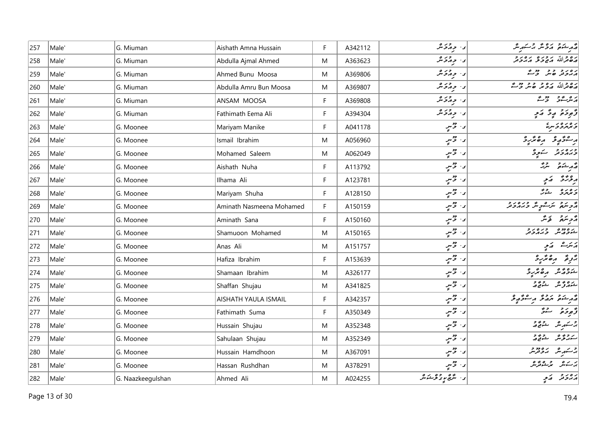| 257 | Male' | G. Miuman         | Aishath Amna Hussain     | $\mathsf F$ | A342112 | ء وېږ چر                                                                                                                                                                                                                                                                                                                                                                                                                                                                                                                                                                                                            | مەم خىم مەمگە برىشىر ش                          |
|-----|-------|-------------------|--------------------------|-------------|---------|---------------------------------------------------------------------------------------------------------------------------------------------------------------------------------------------------------------------------------------------------------------------------------------------------------------------------------------------------------------------------------------------------------------------------------------------------------------------------------------------------------------------------------------------------------------------------------------------------------------------|-------------------------------------------------|
| 258 | Male' | G. Miuman         | Abdulla Ajmal Ahmed      | M           | A363623 | ء بەر جەر ش                                                                                                                                                                                                                                                                                                                                                                                                                                                                                                                                                                                                         | رە داللە كەدرە كەرد                             |
| 259 | Male' | G. Miuman         | Ahmed Bunu Moosa         | M           | A369806 | $\begin{array}{c c} \hline z & z \\ z & z \\ \hline \end{array}$                                                                                                                                                                                                                                                                                                                                                                                                                                                                                                                                                    | رەرد در «ر                                      |
| 260 | Male' | G. Miuman         | Abdulla Amru Bun Moosa   | M           | A369807 | ء ، جەممىسى                                                                                                                                                                                                                                                                                                                                                                                                                                                                                                                                                                                                         | م معرالله محرم و در در د                        |
| 261 | Male' | G. Miuman         | ANSAM MOOSA              | $\mathsf F$ | A369808 | ى بەرگە ئىگە                                                                                                                                                                                                                                                                                                                                                                                                                                                                                                                                                                                                        | ړ ه په د دغه                                    |
| 262 | Male' | G. Miuman         | Fathimath Eema Ali       | F           | A394304 | ى بەرگە ئىگە                                                                                                                                                                                                                                                                                                                                                                                                                                                                                                                                                                                                        | أزودكم ولاكن                                    |
| 263 | Male' | G. Moonee         | Mariyam Manike           | $\mathsf F$ | A041178 | ی وحمير                                                                                                                                                                                                                                                                                                                                                                                                                                                                                                                                                                                                             | ر ەرەر بەر،<br>جىمەدۋە س                        |
| 264 | Male' | G. Moonee         | Ismail Ibrahim           | M           | A056960 |                                                                                                                                                                                                                                                                                                                                                                                                                                                                                                                                                                                                                     | ת ייצוב תייתיב<br>ת ייצוב תייתיב<br>כמו כל ייצב |
| 265 | Male' | G. Moonee         | Mohamed Saleem           | M           | A062049 | ای- وحمد<br>ا                                                                                                                                                                                                                                                                                                                                                                                                                                                                                                                                                                                                       |                                                 |
| 266 | Male' | G. Moonee         | Aishath Nuha             | F           | A113792 | ى بەللىمىسى<br>ئە                                                                                                                                                                                                                                                                                                                                                                                                                                                                                                                                                                                                   | أقدم يتمرح المرجح                               |
| 267 | Male' | G. Moonee         | Ilhama Ali               | F           | A123781 | ی وحمير                                                                                                                                                                                                                                                                                                                                                                                                                                                                                                                                                                                                             | أروزة أربي                                      |
| 268 | Male' | G. Moonee         | Mariyam Shuha            | F           | A128150 | $\frac{1}{\sqrt{2}}$                                                                                                                                                                                                                                                                                                                                                                                                                                                                                                                                                                                                | ترەرە يەر                                       |
| 269 | Male' | G. Moonee         | Aminath Nasmeena Mohamed | F           | A150159 | لى بەلتىپتىلى<br>ئا                                                                                                                                                                                                                                                                                                                                                                                                                                                                                                                                                                                                 | أأدمره الكرامويش وبرور و                        |
| 270 | Male' | G. Moonee         | Aminath Sana             | F           | A150160 | ی وحمير                                                                                                                                                                                                                                                                                                                                                                                                                                                                                                                                                                                                             | ۇ ئەسىر ئەيگە                                   |
| 271 | Male' | G. Moonee         | Shamuoon Mohamed         | M           | A150165 | $\frac{1}{2}$<br>$\frac{2}{5}$<br>$\frac{2}{5}$                                                                                                                                                                                                                                                                                                                                                                                                                                                                                                                                                                     | ر ودوه وره د و<br>شوه سر وبرمرونر               |
| 272 | Male' | G. Moonee         | Anas Ali                 | M           | A151757 | $\overline{\begin{array}{c} \overline{\begin{array}{c} \overline{\begin{array}{c} \overline{\begin{array}{c} \overline{\begin{array}{c} \overline{\begin{array}{c} \overline{\begin{array}{c} \overline{\begin{array}{c} \overline{\begin{array}{c} \overline{\begin{array}{c} \overline{\begin{array}{c} \overline{\begin{array}{c} \overline{\begin{array}{c} \overline{\begin{array}{c} \overline{\begin{array}{c} \overline{\begin{array}{c} \overline{\begin{array}{c} \overline{\begin{array}{c} \overline{\begin{array}{c} \overline{\begin{array}{c} \overline{\begin{array}{c} \overline{\begin{array}{c}$ | پرس کی پ                                        |
| 273 | Male' | G. Moonee         | Hafiza Ibrahim           | $\mathsf F$ | A153639 | ے<br>ای تحصیر<br>نے                                                                                                                                                                                                                                                                                                                                                                                                                                                                                                                                                                                                 | بزوتر مقترره                                    |
| 274 | Male' | G. Moonee         | Shamaan Ibrahim          | M           | A326177 | ای کی خواہد<br>ا                                                                                                                                                                                                                                                                                                                                                                                                                                                                                                                                                                                                    |                                                 |
| 275 | Male' | G. Moonee         | Shaffan Shujau           | M           | A341825 | ى بەردىپر                                                                                                                                                                                                                                                                                                                                                                                                                                                                                                                                                                                                           | ے <i>وہ و</i> ہ دورہ<br>خوبرتی سر شوقے ہ        |
| 276 | Male' | G. Moonee         | AISHATH YAULA ISMAIL     | $\mathsf F$ | A342357 | ی وقسر<br>ته                                                                                                                                                                                                                                                                                                                                                                                                                                                                                                                                                                                                        | مەر خەم مەم ئى مەم ئە                           |
| 277 | Male' | G. Moonee         | Fathimath Suma           | $\mathsf F$ | A350349 | <br> ی- توکیل<br> ج                                                                                                                                                                                                                                                                                                                                                                                                                                                                                                                                                                                                 | $rac{1}{5^{2}}$ $rac{2}{5^{2}}$                 |
| 278 | Male' | G. Moonee         | Hussain Shujau           | M           | A352348 | ی وحمير                                                                                                                                                                                                                                                                                                                                                                                                                                                                                                                                                                                                             | جر سکور مشروع د                                 |
| 279 | Male' | G. Moonee         | Sahulaan Shujau          | M           | A352349 | ی- وقس<br>تا                                                                                                                                                                                                                                                                                                                                                                                                                                                                                                                                                                                                        | سەردىس شەھ بەر                                  |
| 280 | Male' | G. Moonee         | Hussain Hamdhoon         | M           | A367091 |                                                                                                                                                                                                                                                                                                                                                                                                                                                                                                                                                                                                                     | ج کے مربع کے مرکز میں ک                         |
| 281 | Male' | G. Moonee         | Hassan Rushdhan          | M           | A378291 | ای تجمعی                                                                                                                                                                                                                                                                                                                                                                                                                                                                                                                                                                                                            | ىر كەش بولىشى تۈركىتىل                          |
| 282 | Male' | G. Naazkeegulshan | Ahmed Ali                | M           | A024255 | ر سمج پ <sub>ر 1</sub> 925ء<br>د سمج پ <sub>ر 2</sub> 924ء                                                                                                                                                                                                                                                                                                                                                                                                                                                                                                                                                          | ړ ور د کړ                                       |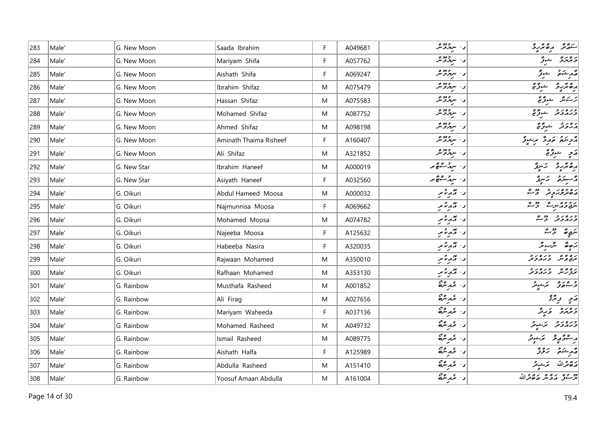| 283 | Male' | G. New Moon | Saada Ibrahim          | $\mathsf F$ | A049681 | ی سرگرفر مگر                 | ە ھەترىرى<br>برھىترىرى<br>سەرگە                                                                                                                                                                                                  |
|-----|-------|-------------|------------------------|-------------|---------|------------------------------|----------------------------------------------------------------------------------------------------------------------------------------------------------------------------------------------------------------------------------|
| 284 | Male' | G. New Moon | Mariyam Shifa          | $\mathsf F$ | A057762 | ر . سرگرفتگر                 | ر ه ر ه<br><del>ر</del> بربر د<br>سندوگر                                                                                                                                                                                         |
| 285 | Male' | G. New Moon | Aishath Shifa          | F           | A069247 |                              | شدوگر<br>پ <sup>و</sup> پر شوې                                                                                                                                                                                                   |
| 286 | Male' | G. New Moon | Ibrahim Shifaz         | M           | A075479 | ر . سرگرفتگر                 | ە ھەترىرى<br>مەھىرىرى<br>شوژٌ ج                                                                                                                                                                                                  |
| 287 | Male' | G. New Moon | Hassan Shifaz          | M           | A075583 | ر . سرد ده ه<br>د . سرد ش    | رىسى ئىرۇمچ                                                                                                                                                                                                                      |
| 288 | Male' | G. New Moon | Mohamed Shifaz         | M           | A087752 | ر . سرگرفتگر<br>د . سرگرفتگر | و ره ر و<br>تر پر تر تر<br>ے تو گئ                                                                                                                                                                                               |
| 289 | Male' | G. New Moon | Ahmed Shifaz           | M           | A098198 | ر . سربرو نگر<br>پ           | رەر ئ <sub>ە</sub> رگە<br>مەركىر ئىو <i>رگ</i> ە                                                                                                                                                                                 |
| 290 | Male' | G. New Moon | Aminath Thaima Risheef | F           | A160407 | ر . سرگرفر مگر               | أأوسكم أوارد المساور                                                                                                                                                                                                             |
| 291 | Male' | G. New Moon | Ali Shifaz             | M           | A321852 | ی سرگروهو                    | $\begin{array}{cc} \mathcal{E}\overset{\sigma}{\rightarrow} & \mathcal{E}\overset{\sigma}{\rightarrow} & \mathcal{E}\overset{\sigma}{\rightarrow} & \mathcal{E}\end{array}$                                                      |
| 292 | Male' | G. New Star | Ibrahim Haneef         | M           | A000019 | ى سرە ئەھمىر                 | رەيزرو ئېرو                                                                                                                                                                                                                      |
| 293 | Male' | G. New Star | Asiyath Haneef         | F           | A032560 | <sub>ى</sub> سرە ئىستىقىمە   | ي به در ديگري ديگري کردند کردند کردند در است که در استان کردند کردند کردند کردند کردند کردند کردند کردند کردند<br>مرکز کردند کردند کردند کردند کردند کردند کردند کردند کردند کردند کردند کردند کردند کردند کردند کردند کردند کرد |
| 294 | Male' | G. Oikuri   | Abdul Hameed Moosa     | M           | A000032 | ، می شده می                  | גם כם גב"כ"<br>גם <i>נקב</i> ג <sub>ב נ</sub> ג                                                                                                                                                                                  |
| 295 | Male' | G. Oikuri   | Najmunnisa Moosa       | $\mathsf F$ | A069662 | ، په مهم م                   | ىردە دەسرىقە بەر <u>م</u>                                                                                                                                                                                                        |
| 296 | Male' | G. Oikuri   | Mohamed Moosa          | M           | A074782 | ی میمرس میر                  | وره دو دور                                                                                                                                                                                                                       |
| 297 | Male' | G. Oikuri   | Najeeba Moosa          | $\mathsf F$ | A125632 | ی میمرس میر                  | أَسَمِعٍ هُمْ وَيَسْتَمْ                                                                                                                                                                                                         |
| 298 | Male' | G. Oikuri   | Habeeba Nasira         | F           | A320035 | ى ئەھمەتلىم<br>ئ             | بَرُحوةُ سُرْجِعُرُ                                                                                                                                                                                                              |
| 299 | Male' | G. Oikuri   | Rajwaan Mohamed        | M           | A350010 | ی میمرس میر                  | رەپە درەرد<br>برق <sub>ى</sub> ئىرگەرىر                                                                                                                                                                                          |
| 300 | Male' | G. Oikuri   | Rafhaan Mohamed        | M           | A353130 | ، په مرسمبر<br>م             | و رە ر د<br>تر پر پر تر<br>ره و ه<br>برو ر مګ                                                                                                                                                                                    |
| 301 | Male' | G. Rainbow  | Musthafa Rasheed       | M           | A001852 | ى ئىم شەھ                    | ومبورة المرشوش                                                                                                                                                                                                                   |
| 302 | Male' | G. Rainbow  | Ali Firag              | M           | A027656 | ى ئىر شرە                    | ړې ویژنی                                                                                                                                                                                                                         |
| 303 | Male' | G. Rainbow  | Mariyam Waheeda        | F           | A037136 | ی نمرمرمی                    | رەرە كەيتر                                                                                                                                                                                                                       |
| 304 | Male' | G. Rainbow  | Mohamed Rasheed        | M           | A049732 | ی نمرمر شرقه                 | وره رو کرشونر<br>وبروونر کرشونر                                                                                                                                                                                                  |
| 305 | Male' | G. Rainbow  | Ismail Rasheed         | M           | A089775 | ى بىر مەھ                    | ىرىش <i>ۇ<sub>ھ</sub>ىۋە بۇ</i> ش <sub>ۇ</sub> تر                                                                                                                                                                                |
| 306 | Male' | G. Rainbow  | Aishath Halfa          | F           | A125989 | .<br>ئ- ئىگە بىر بىر ھ       | ة مقدمة روء<br>مقدمة روو                                                                                                                                                                                                         |
| 307 | Male' | G. Rainbow  | Abdulla Rasheed        | M           | A151410 | ر به عربه عرض <sup>6</sup>   | ره والله بمرشوتر                                                                                                                                                                                                                 |
| 308 | Male' | G. Rainbow  | Yoosuf Amaan Abdulla   | M           | A161004 | د . مگر مرهم هم              | ود وه برو مره و الله                                                                                                                                                                                                             |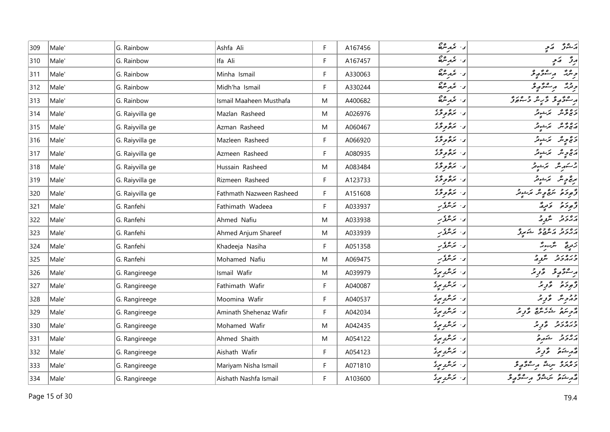| 309 | Male' | G. Rainbow      | Ashfa Ali                | F  | A167456 | ء ممر شرح                                                                                                                                                                                                                                  | بر مشوقه<br>مرسشوقه<br>ەكىپىيە                       |
|-----|-------|-----------------|--------------------------|----|---------|--------------------------------------------------------------------------------------------------------------------------------------------------------------------------------------------------------------------------------------------|------------------------------------------------------|
| 310 | Male' | G. Rainbow      | Ifa Ali                  | F. | A167457 | ی گرمر شرقه                                                                                                                                                                                                                                | بروس<br>ەئىر                                         |
| 311 | Male' | G. Rainbow      | Minha Ismail             | F  | A330063 | ی نمرمرمرم                                                                                                                                                                                                                                 | جرمثه<br>برىشۇرپۇ                                    |
| 312 | Male' | G. Rainbow      | Midh'ha Ismail           | F. | A330244 | ی نمرمرمی                                                                                                                                                                                                                                  | وترجح                                                |
| 313 | Male' | G. Rainbow      | Ismail Maaheen Musthafa  | M  | A400682 | ی نمرمرمرم                                                                                                                                                                                                                                 | ړ څوکړو و په و ده ورو                                |
| 314 | Male' | G. Raiyvilla ge | Mazlan Rasheed           | M  | A026976 | - مره و ده                                                                                                                                                                                                                                 | رەپرى ئەسىر<br><mark>جى</mark> خىر ئى <sub>سىر</sub> |
| 315 | Male' | G. Raiyvilla ge | Azman Rasheed            | M  | A060467 | ى بىرە ئەمۇر                                                                                                                                                                                                                               | رەۋىر برَجوتر                                        |
| 316 | Male' | G. Raiyvilla ge | Mazleen Rasheed          | F  | A066920 | ى بىرە بوقى                                                                                                                                                                                                                                | 53 دیگر - ترجیدگر                                    |
| 317 | Male' | G. Raiyvilla ge | Azmeen Rasheed           | F. | A080935 | ى بە ئەھمەتچە                                                                                                                                                                                                                              | پرچ ج پس پ پر پی پی پر                               |
| 318 | Male' | G. Raiyvilla ge | Hussain Rasheed          | M  | A083484 | ى بىرە بوقۇ                                                                                                                                                                                                                                | وكسكر مكر الكراشوقر                                  |
| 319 | Male' | G. Raiyvilla ge | Rizmeen Rasheed          | F. | A123733 | ى بىرە مۇئى                                                                                                                                                                                                                                | برجم وٍ مُرْ بِمَ يَسْوِيْرُ                         |
| 320 | Male' | G. Raiyvilla ge | Fathmath Nazween Rasheed | F  | A151608 | ى سىھەم ئىمى                                                                                                                                                                                                                               | و دو سرچ موسر مردو                                   |
| 321 | Male' | G. Ranfehi      | Fathimath Wadeea         | F  | A033937 | ى - ئىرىندى ب                                                                                                                                                                                                                              | وٌجوحهِ وَمَدِيرٌ                                    |
| 322 | Male' | G. Ranfehi      | Ahmed Nafiu              | M  | A033938 | ى سىگەنگۈپ                                                                                                                                                                                                                                 | رەرو شرە                                             |
| 323 | Male' | G. Ranfehi      | Ahmed Anjum Shareef      | M  | A033939 | ى - ئىزىقۇپ                                                                                                                                                                                                                                | رەر د رەدە شەرو                                      |
| 324 | Male' | G. Ranfehi      | Khadeeja Nasiha          | F  | A051358 | ى ئىر ئىر ئىگە ئە                                                                                                                                                                                                                          | زَمرِيحَ - مُرْجَدٌ                                  |
| 325 | Male' | G. Ranfehi      | Mohamed Nafiu            | M  | A069475 | ى ئىر ئىر ئىرگەر                                                                                                                                                                                                                           | ورەرو شرو                                            |
| 326 | Male' | G. Rangireege   | Ismail Wafir             | M  | A039979 | <br> د· ئرىشدىرد                                                                                                                                                                                                                           | ر جۇم ئۇر ئى                                         |
| 327 | Male' | G. Rangireege   | Fathimath Wafir          | F  | A040087 | <br> د· مَرْسْدِ مِرْدُ                                                                                                                                                                                                                    | ا تو پر دي.<br>ا<br>ۇر بر                            |
| 328 | Male' | G. Rangireege   | Moomina Wafir            | F  | A040537 | ى ئەشمەتبەتى                                                                                                                                                                                                                               | دړ <sub>و م</sub> ژ <sub>قریر</sub>                  |
| 329 | Male' | G. Rangireege   | Aminath Shehenaz Wafir   | F  | A042034 | ى ئېرىقىي بېرى                                                                                                                                                                                                                             | ر<br>مرد سمي شر سمي گريم                             |
| 330 | Male' | G. Rangireege   | Mohamed Wafir            | M  | A042435 | ى سىگەتلىرى<br>سىرتىشى ئىرتى                                                                                                                                                                                                               | ورەرو ئەر                                            |
| 331 | Male' | G. Rangireege   | Ahmed Shaith             | M  | A054122 | ى ئېرىشى بېرى<br>س                                                                                                                                                                                                                         | ره رو شهره<br>پرېدونر شهره                           |
| 332 | Male' | G. Rangireege   | Aishath Wafir            | F  | A054123 | ، ئەشمەم <i>ب</i> ۇ                                                                                                                                                                                                                        | وكرشكة وتوبر                                         |
| 333 | Male' | G. Rangireege   | Mariyam Nisha Ismail     | F. | A071810 | $\left  \begin{array}{cc} \sqrt{2} & \sqrt{2} & \sqrt{2} \ & \sqrt{2} & \sqrt{2} \ & \sqrt{2} & \sqrt{2} \ & \sqrt{2} & \sqrt{2} \ & \sqrt{2} & \sqrt{2} \ & \sqrt{2} & \sqrt{2} \ & \sqrt{2} & \sqrt{2} & \sqrt{2} \ \end{array} \right $ | وبرمرو سيش برعوم و                                   |
| 334 | Male' | G. Rangireege   | Aishath Nashfa Ismail    | F  | A103600 | <sub>ى</sub> سىگە ئىرىمى<br>                                                                                                                                                                                                               | أوالم المستوفر المستراكية والمستراكية                |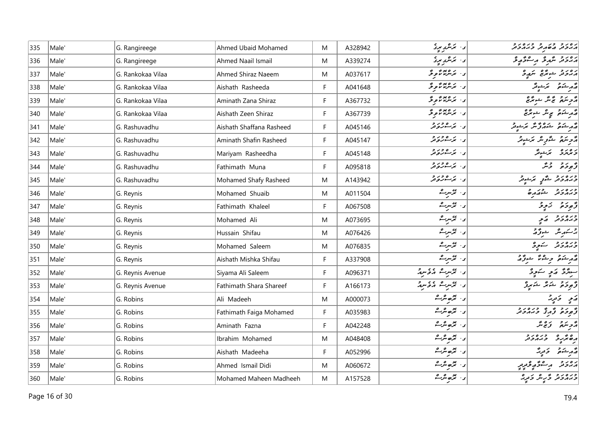| 335 | Male' | G. Rangireege     | Ahmed Ubaid Mohamed      | M         | A328942 | <sub>ى</sub> ئېرىش <sub>ىم</sub> بېر <sub>ى</sub> | ג סגב בשתב כגם גב                   |
|-----|-------|-------------------|--------------------------|-----------|---------|---------------------------------------------------|-------------------------------------|
| 336 | Male' | G. Rangireege     | Ahmed Naail Ismail       | M         | A339274 | <sub>ى</sub> سىگەنگىرىمى<br>                      | أرور و شرو رقوقهو                   |
| 337 | Male' | G. Rankokaa Vilaa | Ahmed Shiraz Naeem       | ${\sf M}$ | A037617 | ، ئەشرىتقى ئى                                     | أرود والمسترج التماريح              |
| 338 | Male' | G. Rankokaa Vilaa | Aishath Rasheeda         | F         | A041648 | ى برەپرە ئوق                                      | مەم ئىشى ئىشىڭر                     |
| 339 | Male' | G. Rankokaa Vilaa | Aminath Zana Shiraz      | F         | A367732 | ى ئېرىترىم ئوقە                                   | أأرجع أأتمر المستورج                |
| 340 | Male' | G. Rankokaa Vilaa | Aishath Zeen Shiraz      | F         | A367739 | ر مەھم ئىم ئىم ئىم ئىسى ئىمە                      | أقهر مشوقر سي مشر مشورشنج           |
| 341 | Male' | G. Rashuvadhu     | Aishath Shaffana Rasheed | F         | A045146 |                                                   | مەر شەھ شەرۇش برىشون                |
| 342 | Male' | G. Rashuvadhu     | Aminath Shafin Rasheed   | F         | A045147 | ى · بۇسەرچە تەر                                   | أأدوبتهم كشروش ترجيش                |
| 343 | Male' | G. Rashuvadhu     | Mariyam Rasheedha        | F         | A045148 | ى سىمەشقەتلىرى تەر                                |                                     |
| 344 | Male' | G. Rashuvadhu     | Fathimath Muna           | F         | A095818 | ى سىمەشقەتلىرى تەر                                | قەدە دىگە                           |
| 345 | Male' | G. Rashuvadhu     | Mohamed Shafy Rasheed    | M         | A143942 | ى ، ئۆسەرىمى تىر                                  | وبرورو الشركي الراسور               |
| 346 | Male' | G. Reynis         | Mohamed Shuaib           | M         | A011504 | ى ئۇسرىسە                                         | כנסנפ ברגם                          |
| 347 | Male' | G. Reynis         | Fathimath Khaleel        | F         | A067508 | ى ئۇسرىقە                                         | وتموذة المتعيدة                     |
| 348 | Male' | G. Reynis         | Mohamed Ali              | M         | A073695 | ى ئۇسرىقە                                         | ورەرو كەي                           |
| 349 | Male' | G. Reynis         | Hussain Shifau           | ${\sf M}$ | A076426 | ى ئۇسرىسى                                         | رحم شهر میگردید.<br>مستقریب میگردید |
| 350 | Male' | G. Reynis         | Mohamed Saleem           | M         | A076835 | ى گەرىرى<br>س                                     | ورەرو سکوپ                          |
| 351 | Male' | G. Reynis         | Aishath Mishka Shifau    | F         | A337908 | ى ئۇسرىشە                                         | مەر شىمى بار شور ئەر                |
| 352 | Male' | G. Reynis Avenue  | Siyama Ali Saleem        | F         | A096371 | ی گئیں۔ مؤسر                                      | سرودة أيالمج الشرود                 |
| 353 | Male' | G. Reynis Avenue  | Fathimath Shara Shareef  | F         | A166173 | ى ئېرس مۇمىد                                      | توجوخا خانتى خامره                  |
| 354 | Male' | G. Robins         | Ali Madeeh               | M         | A000073 | ى مجموع مىر م                                     | ړې د ترده                           |
| 355 | Male' | G. Robins         | Fathimath Faiga Mohamed  | F         | A035983 | ى ئېچ مەرگ                                        | 2,012 = 2,015<br>Greek Greek Cryck  |
| 356 | Male' | G. Robins         | Aminath Fazna            | F         | A042248 | ى بىخ ھەشرىسە                                     | أزويته وكالثر                       |
| 357 | Male' | G. Robins         | Ibrahim Mohamed          | M         | A048408 | ى بىخ ھەمگرىشە                                    | مەھترىرى دىرەرد                     |
| 358 | Male' | G. Robins         | Aishath Madeeha          | F         | A052996 | ى ئېزەمگرىشە                                      | و د شود و تورد                      |
| 359 | Male' | G. Robins         | Ahmed Ismail Didi        | ${\sf M}$ | A060672 | ى ئېچ مەرگ                                        |                                     |
| 360 | Male' | G. Robins         | Mohamed Maheen Madheeh   | M         | A157528 | ى ئېچ مەرگ                                        | ورەر د گرىگ كېرگ                    |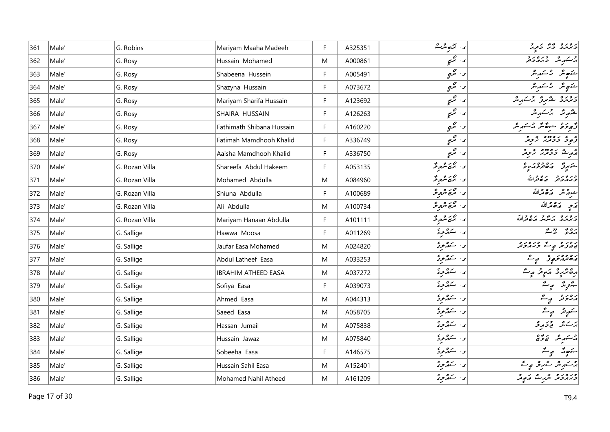| 361 | Male' | G. Robins      | Mariyam Maaha Madeeh       | F           | A325351 | ى ئېچ مەرگ                                      | د ۱۵ د ۲۵ و تړبر                       |
|-----|-------|----------------|----------------------------|-------------|---------|-------------------------------------------------|----------------------------------------|
| 362 | Male' | G. Rosy        | Hussain Mohamed            | M           | A000861 | ای حمی                                          | بر شهر شده در در د                     |
| 363 | Male' | G. Rosy        | Shabeena Hussein           | F           | A005491 | ا <sup>ی حج</sup> میچ                           | شوچىنگە ئەسكىرىنكە                     |
| 364 | Male' | G. Rosy        | Shazyna Hussain            | F           | A073672 | ای مچمعي                                        | شەپپىتى بۇ سەربىر                      |
| 365 | Male' | G. Rosy        | Mariyam Sharifa Hussain    | F           | A123692 | ای چې                                           | دەرە شەرق باسەر                        |
| 366 | Male' | G. Rosy        | SHAIRA HUSSAIN             | F           | A126263 | $\overline{\mathcal{L} \cdot \mathcal{L}}$      | شورى برسورىر                           |
| 367 | Male' | G. Rosy        | Fathimath Shibana Hussain  | F           | A160220 | ای چې                                           | توجوج شيقة برسكر                       |
| 368 | Male' | G. Rosy        | Fatimah Mamdhooh Khalid    | F           | A336749 | ای کمچمیچ                                       | وتجوى وووده تزوير                      |
| 369 | Male' | G. Rosy        | Aaisha Mamdhooh Khalid     | F           | A336750 | ای میچ                                          | أورث ودوره وود                         |
| 370 | Male' | G. Rozan Villa | Shareefa Abdul Hakeem      | F           | A053135 | ، ئىي ش <sub>ەر</sub> قى                        | شهرو رەدەبرە                           |
| 371 | Male' | G. Rozan Villa | Mohamed Abdulla            | M           | A084960 | <br>  <sub>ى</sub> گېمىتى شر <sub>ى</sub> ر ئىل | وره رو روورالله                        |
| 372 | Male' | G. Rozan Villa | Shiuna Abdulla             | $\mathsf F$ | A100689 | ى بىم ئەسموقە                                   | أشوقر متر وقالله                       |
| 373 | Male' | G. Rozan Villa | Ali Abdulla                | M           | A100734 | د . مريخ شعر څه                                 | أَصَعِ صَدَّقَدَاللَّهُ                |
| 374 | Male' | G. Rozan Villa | Mariyam Hanaan Abdulla     | F.          | A101111 | ى مىمىمىموگە                                    | رەرە بەرىرە دەراللە                    |
| 375 | Male' | G. Sallige     | Hawwa Moosa                | F           | A011269 | ی شهر دی                                        | بره و دین                              |
| 376 | Male' | G. Sallige     | Jaufar Easa Mohamed        | M           | A024820 | ى سەھرىتى                                       | ניני הבי כנסני                         |
| 377 | Male' | G. Sallige     | Abdul Latheef Easa         | M           | A033253 | ى سەھرىتى                                       | ړه ده په وسر په د                      |
| 378 | Male' | G. Sallige     | <b>IBRAHIM ATHEED EASA</b> | M           | A037272 | ء سنه مرد<br> -                                 | ופת כ הקת הם                           |
| 379 | Male' | G. Sallige     | Sofiya Easa                | F           | A039073 | ى سەھرى                                         | جوړه پرځ                               |
| 380 | Male' | G. Sallige     | Ahmed Easa                 | M           | A044313 | ى سەھرىمى                                       | أرور و ميگ                             |
| 381 | Male' | G. Sallige     | Saeed Easa                 | M           | A058705 | ى سەھرىمى                                       | سکھی قرائع                             |
| 382 | Male' | G. Sallige     | Hassan Jumail              | M           | A075838 | ى سەھرىمى<br>سەھرىمى                            | بر يكسى في ورو                         |
| 383 | Male' | G. Sallige     | Hussain Jawaz              | M           | A075840 | ى سەھرىمى<br>مەسىمە                             | ير شهر شهر در ده ه<br>پرستهر شهر از ده |
| 384 | Male' | G. Sallige     | Sobeeha Easa               | F           | A146575 | ى سەھرىمى                                       | جنوبة الميت                            |
| 385 | Male' | G. Sallige     | Hussain Sahil Easa         | M           | A152401 | ى سەھرىتى                                       | دىمەش شىرى بەي                         |
| 386 | Male' | G. Sallige     | Mohamed Nahil Atheed       | M           | A161209 | ى سەۋىۋى                                        | ورەرو شرے كەر ئىگە                     |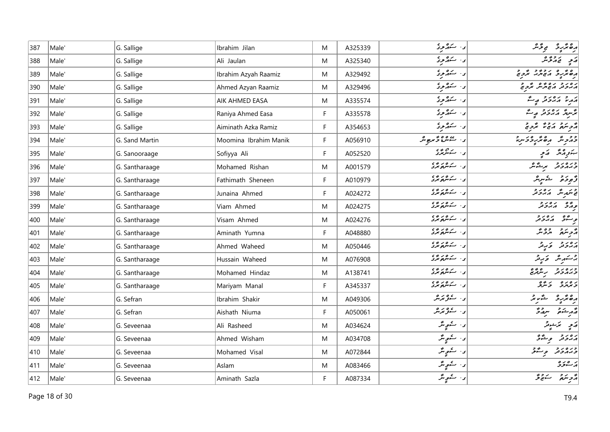| 387 | Male' | G. Sallige     | Ibrahim Jilan         | M         | A325339 | ى سەھرى                                      | رەپرىر بېرىش                               |
|-----|-------|----------------|-----------------------|-----------|---------|----------------------------------------------|--------------------------------------------|
| 388 | Male' | G. Sallige     | Ali Jaulan            | ${\sf M}$ | A325340 | ی کشوری                                      | أەيج ئەمەقە                                |
| 389 | Male' | G. Sallige     | Ibrahim Azyah Raamiz  | M         | A329492 | ى سەھەم ئە                                   | הסתקב הזאת תקד                             |
| 390 | Male' | G. Sallige     | Ahmed Azyan Raamiz    | M         | A329496 | ی کشوری                                      | ג פגב גם בם בביב                           |
| 391 | Male' | G. Sallige     | AIK AHMED EASA        | M         | A335574 | ى سەھرى                                      | ړه رورو په                                 |
| 392 | Male' | G. Sallige     | Raniya Ahmed Easa     | F         | A335578 | ى سەھرى                                      | ترسر برەرد برگ                             |
| 393 | Male' | G. Sallige     | Aiminath Azka Ramiz   | F         | A354653 | ى سەھرىمى<br>سەھرىمى                         | أأديتهم أرجع المردح                        |
| 394 | Male' | G. Sand Martin | Moomina Ibrahim Manik | F         | A056910 | ى سەمدە ئۇ برېقىر                            | دودير رەئزېردىرىد                          |
| 395 | Male' | G. Sanooraage  | Sofiyya Ali           | F         | A052520 | - سەنئەرىيە<br>ي                             | سكوردش كدمج                                |
| 396 | Male' | G. Santharaage | Mohamed Rishan        | M         | A001579 | ى سىمىھەتمە                                  | ورەرو برېشىر<br><i>وبەم</i> وتر برېشىر     |
| 397 | Male' | G. Santharaage | Fathimath Sheneen     | F         | A010979 | ى سىمىسى ئىرى                                | فكمسير<br>ا تۇ بور بو                      |
| 398 | Male' | G. Santharaage | Junaina Ahmed         | F         | A024272 | ى سىرەپرى                                    | خ سَمدِ سَرَ مَ بَرَ حَرَ مَرَ             |
| 399 | Male' | G. Santharaage | Viam Ahmed            | M         | A024275 | ى سىرەپرى                                    | وړو پره ده.                                |
| 400 | Male' | G. Santharaage | Visam Ahmed           | M         | A024276 | ى سىمىسى ئىرى                                | وشو برەرد                                  |
| 401 | Male' | G. Santharaage | Aminath Yumna         | F.        | A048880 | ر . ستوره بر د <sup>ر ر</sup> و ،            | ړځ شرح د چې شر                             |
| 402 | Male' | G. Santharaage | Ahmed Waheed          | M         | A050446 | ى سىرەپرى                                    | أرورو كالميتر                              |
| 403 | Male' | G. Santharaage | Hussain Waheed        | M         | A076908 | ر . ستوره در در در در ایران<br>سر در ستوسیری | يز سكر مثل التحرير وتر                     |
| 404 | Male' | G. Santharaage | Mohamed Hindaz        | M         | A138741 | ى سىمىسى ئىرى                                | وره رو و ره ده<br>وبرماوتر الرس            |
| 405 | Male' | G. Santharaage | Mariyam Manal         | F         | A345337 | ى سىمىسى ئىرى                                | ر ه ر ه<br><del>ر</del> بربرگر<br>ىز ئىزىۋ |
| 406 | Male' | G. Sefran      | Ibrahim Shakir        | M         | A049306 | ى سىۋىمەش                                    | ەرھ ئ <sup>ۆ</sup> ر ۋ<br>شەر بەر          |
| 407 | Male' | G. Sefran      | Aishath Niuma         | F         | A050061 | ى سۇمەتبەر                                   | سروي                                       |
| 408 | Male' | G. Seveenaa    | Ali Rasheed           | M         | A034624 | ى سەھمىگە                                    | أركمني المركب وتر                          |
| 409 | Male' | G. Seveenaa    | Ahmed Wisham          | M         | A034708 | ى سەھمىگە                                    | ره رو در ده<br>پرېدونر وشگو                |
| 410 | Male' | G. Seveenaa    | Mohamed Visal         | M         | A072844 | ى سەھپەتگە                                   | ورەرو ھىشۇ                                 |
| 411 | Male' | G. Seveenaa    | Aslam                 | M         | A083466 | ى سەھپىگر                                    | ەرەرە                                      |
| 412 | Male' | G. Seveenaa    | Aminath Sazla         | F.        | A087334 | ى سگوپىگر                                    | ړ د سره کرد و                              |
|     |       |                |                       |           |         |                                              |                                            |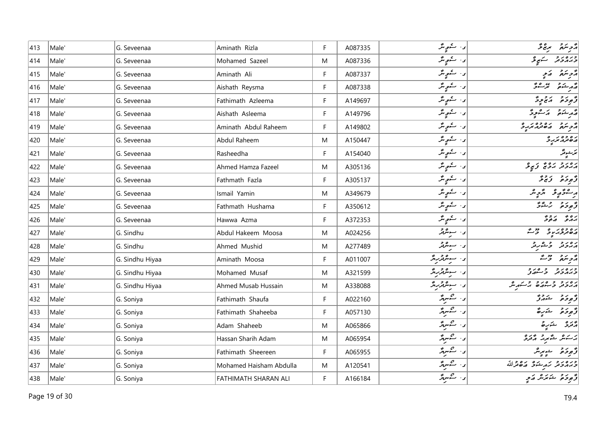| 413 | Male' | G. Seveenaa     | Aminath Rizla           | F         | A087335 | ر سنگام میگر<br>م                       | أأترجع برجو                            |
|-----|-------|-----------------|-------------------------|-----------|---------|-----------------------------------------|----------------------------------------|
| 414 | Male' | G. Seveenaa     | Mohamed Sazeel          | M         | A087336 | <mark>ء ڪوپگر</mark>                    | ورەرو سەرو                             |
| 415 | Male' | G. Seveenaa     | Aminath Ali             | F         | A087337 | <br>  د · سکوه میگر                     | أثر حريحهم                             |
| 416 | Male' | G. Seveenaa     | Aishath Reysma          | F         | A087338 | ى سەھپىگر                               | ىمەھەمچ<br>و مر شو د<br>مر             |
| 417 | Male' | G. Seveenaa     | Fathimath Azleema       | F         | A149697 | ى سەھ پىگر                              | توجوخو أيجمع يحر                       |
| 418 | Male' | G. Seveenaa     | Aishath Asleema         | F         | A149796 | ى سەھ پىر                               | ۇرىشى مەسىر                            |
| 419 | Male' | G. Seveenaa     | Aminath Abdul Raheem    | F         | A149802 | ى سەھپىگر                               | הכיתם הסבת הס                          |
| 420 | Male' | G. Seveenaa     | Abdul Raheem            | ${\sf M}$ | A150447 | ى سەھپەتر                               | ړه وه بر په و                          |
| 421 | Male' | G. Seveenaa     | Rasheedha               | F         | A154040 | ى سەھپىگر                               | ىكەپ ھەتگە<br>ئە                       |
| 422 | Male' | G. Seveenaa     | Ahmed Hamza Fazeel      | M         | A305136 | ى سەھ پىر                               | ړه د د برونځ کولمونو                   |
| 423 | Male' | G. Seveenaa     | Fathmath Fazla          | F         | A305137 | ى سەھمىگە                               | وَجِعَةٍ وَيَحْرَ                      |
| 424 | Male' | G. Seveenaa     | Ismail Yamin            | M         | A349679 | ى سەھپىگر                               | وڪوڻو گرچي                             |
| 425 | Male' | G. Seveenaa     | Fathmath Hushama        | F         | A350612 | ى سەھپىگر                               | ۇ بەر ئەيدۇ                            |
| 426 | Male' | G. Seveenaa     | Hawwa Azma              | F         | A372353 | ى سەھپەتر                               | ره په دوم<br>بروگو مخو                 |
| 427 | Male' | G. Sindhu       | Abdul Hakeem Moosa      | ${\sf M}$ | A024256 | ای سوهر<br>——                           | גם כסג פ"כ"ל<br>הסט <i>פה ע</i> ל "כ"ל |
| 428 | Male' | G. Sindhu       | Ahmed Mushid            | ${\sf M}$ | A277489 | ى سوشرفتر                               | رەرە وھەرى                             |
| 429 | Male' | G. Sindhu Hiyaa | Aminath Moosa           | F         | A011007 | ى سومىروترىدىگر                         | أروبتره وحرث                           |
| 430 | Male' | G. Sindhu Hiyaa | Mohamed Musaf           | M         | A321599 | ا <sub>ى</sub> ، سومىرىدىگر             | כנסנד כנסנד<br>במחבת ב-חמצ             |
| 431 | Male' | G. Sindhu Hiyaa | Ahmed Musab Hussain     | M         | A338088 | ار . سومثر <i>پورېر</i><br>سر           | נסנכ כ סנכ כ מה                        |
| 432 | Male' | G. Soniya       | Fathimath Shaufa        | F         | A022160 | ى سىستىر                                | وٌ و دَمَ شَهْرُوٌ                     |
| 433 | Male' | G. Soniya       | Fathimath Shaheeba      | F         | A057130 | ى كەسرگر                                | توجوخو شريرة                           |
| 434 | Male' | G. Soniya       | Adam Shaheeb            | ${\sf M}$ | A065866 | $rac{\partial}{\partial y^{\mu}}$       | أردره فيكرده                           |
| 435 | Male' | G. Soniya       | Hassan Sharih Adam      | ${\sf M}$ | A065954 | $rac{\partial}{\partial x^2}$           | يركبش كمقرر المترد                     |
| 436 | Male' | G. Soniya       | Fathimath Sheereen      | F         | A065955 | <br>  د . سگسرگر                        | أقهوحهم سيبرش                          |
| 437 | Male' | G. Soniya       | Mohamed Haisham Abdulla | M         | A120541 | $\frac{\partial}{\partial y^2} \cdot s$ | وره رو تهر شود مصرالله                 |
| 438 | Male' | G. Soniya       | FATHIMATH SHARAN ALI    | F         | A166184 | ای کشمیر                                | الزّودة كمنوس كامي                     |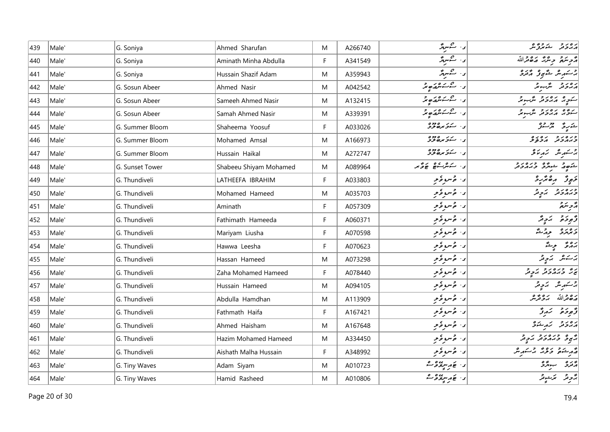| 439 | Male' | G. Soniya       | Ahmed Sharufan         | M           | A266740 | ى سىستر                              | رەرد شەردەر                                    |
|-----|-------|-----------------|------------------------|-------------|---------|--------------------------------------|------------------------------------------------|
| 440 | Male' | G. Soniya       | Aminath Minha Abdulla  | F           | A341549 | ى شىر                                | ومحر منعد ومعاقبة والله                        |
| 441 | Male' | G. Soniya       | Hussain Shazif Adam    | M           | A359943 | $rac{2}{\sqrt{2}}$                   | بر سەر شەھ بۇ ئەندۇ                            |
| 442 | Male' | G. Sosun Abeer  | Ahmed Nasir            | M           | A042542 | ى ئەسكەتلەھ بىر                      | أرەر دىگە بەر                                  |
| 443 | Male' | G. Sosun Abeer  | Sameeh Ahmed Nasir     | M           | A132415 | $2022 - 27$                          | سكور الارداد الأسوار                           |
| 444 | Male' | G. Sosun Abeer  | Samah Ahmed Nasir      | M           | A339391 | ى ئەسەئىدە يېز                       | روه رورد مرسوم                                 |
| 445 | Male' | G. Summer Bloom | Shaheema Yoosuf        | F           | A033026 |                                      | ڪريز هر دو<br>سنديز هر سور                     |
| 446 | Male' | G. Summer Bloom | Mohamed Amsal          | M           | A166973 | ى شەكرىمى ھەدە                       | ورەر دەرە<br><i>دىد</i> ردىر <mark>ئ</mark> ەر |
| 447 | Male' | G. Summer Bloom | Hussain Haikal         | M           | A272747 | ی شوپره دوه<br>ی شوپر <i>ه و</i> و   | ج سەر شەر ئەر ئەنج                             |
| 448 | Male' | G. Sunset Tower | Shabeeu Shiyam Mohamed | M           | A089964 | ى سەشرىقىق قۇقرىر                    | أشكره ومصدد وردد                               |
| 449 | Male' | G. Thundiveli   | LATHEEFA IBRAHIM       | F           | A033803 | ی قم موقع                            | خبور رەترىر                                    |
| 450 | Male' | G. Thundiveli   | Mohamed Hameed         | M           | A035703 | ی گھریو گھرمو                        | ورەرو بروتر                                    |
| 451 | Male' | G. Thundiveli   | Aminath                | F           | A057309 | ى ئەھمىدە ئەم                        | أأدبره                                         |
| 452 | Male' | G. Thundiveli   | Fathimath Hameeda      | $\mathsf F$ | A060371 | ى مۇسوغ يو                           | ۇۋۇۋە بەدۇر                                    |
| 453 | Male' | G. Thundiveli   | Mariyam Liusha         | F           | A070598 | ى ئەھمىدە ئەم                        | ويوبره<br>در شده<br>بر                         |
| 454 | Male' | G. Thundiveli   | Hawwa Leesha           | F           | A070623 | ، ئۇس <sub>لا</sub> غۇر              | رەۋ پېۋ                                        |
| 455 | Male' | G. Thundiveli   | Hassan Hameed          | M           | A073298 | <mark>ء<sup>،</sup> مُ</mark> سوعُ پ | ىزىكىش برىچە                                   |
| 456 | Male' | G. Thundiveli   | Zaha Mohamed Hameed    | F           | A078440 | <sub>ی</sub> می موقعهِ               |                                                |
| 457 | Male' | G. Thundiveli   | Hussain Hameed         | M           | A094105 | ی قم موقع                            | يز سكر شركت بركوفر                             |
| 458 | Male' | G. Thundiveli   | Abdulla Hamdhan        | M           | A113909 | ی قم موقع                            | رەقراللە برەۋىر                                |
| 459 | Male' | G. Thundiveli   | Fathmath Haifa         | F           | A167421 | ى ئەھمىدە ئەم                        | أوالمحمد والملاحق                              |
| 460 | Male' | G. Thundiveli   | Ahmed Haisham          | M           | A167648 | ر په موسوع پو                        | أرەر دىرىشكى                                   |
| 461 | Male' | G. Thundiveli   | Hazim Mohamed Hameed   | M           | A334450 | ی قم موقع                            | محبى ورەرو رويز                                |
| 462 | Male' | G. Thundiveli   | Aishath Malha Hussain  | F           | A348992 | ى ئەھمىدە ئەم                        | أثار والموافق والمسكر المراكل                  |
| 463 | Male' | G. Tiny Waves   | Adam Siyam             | M           | A010723 | د· غەربېرغۇر م                       | پەر ە<br>مەنىرى<br>سبوترد                      |
| 464 | Male' | G. Tiny Waves   | Hamid Rasheed          | M           | A010806 | $rac{1}{2}$                          | جُعٍ قُدْ الْمَرْسُوقْر                        |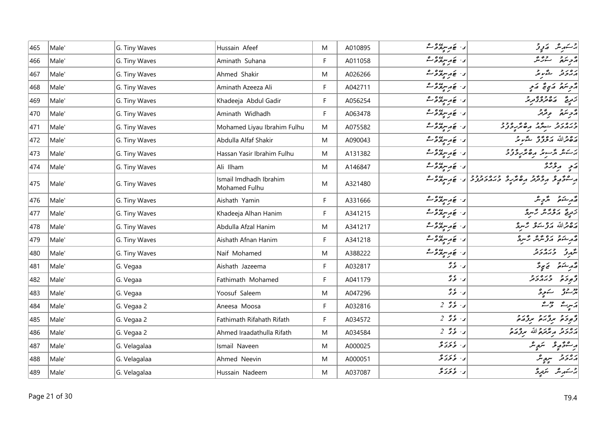| 465 | Male' | G. Tiny Waves | Hussain Afeef                           | ${\sf M}$ | A010895 | ى غېرسە ئەھ                                                                                                             | 2سىمەشى ھەردى                                                                                                                                                                                                                   |
|-----|-------|---------------|-----------------------------------------|-----------|---------|-------------------------------------------------------------------------------------------------------------------------|---------------------------------------------------------------------------------------------------------------------------------------------------------------------------------------------------------------------------------|
| 466 | Male' | G. Tiny Waves | Aminath Suhana                          | F         | A011058 | ى غېرسۇۋى                                                                                                               | أأدمره المتور                                                                                                                                                                                                                   |
| 467 | Male' | G. Tiny Waves | Ahmed Shakir                            | ${\sf M}$ | A026266 | ى قەربېرقۇق                                                                                                             | رەرو ئەرو                                                                                                                                                                                                                       |
| 468 | Male' | G. Tiny Waves | Aminath Azeeza Ali                      | F         | A042711 | ى غېرسە ئەھ                                                                                                             | أأترسكم أياتج أأبي                                                                                                                                                                                                              |
| 469 | Male' | G. Tiny Waves | Khadeeja Abdul Gadir                    | F         | A056254 | ى غېرس <sub>ى</sub> ئۇرگ                                                                                                |                                                                                                                                                                                                                                 |
| 470 | Male' | G. Tiny Waves | Aminath Widhadh                         | F         | A063478 | ى غېرسە ئەم                                                                                                             | أثرم يتركز وترتر                                                                                                                                                                                                                |
| 471 | Male' | G. Tiny Waves | Mohamed Liyau Ibrahim Fulhu             | ${\sf M}$ | A075582 | 288.96                                                                                                                  | כנסני היותר תסתניכני                                                                                                                                                                                                            |
| 472 | Male' | G. Tiny Waves | Abdulla Alfaf Shakir                    | ${\sf M}$ | A090043 | ، غەربېر <i>ۇۋ</i> ر                                                                                                    | رە داللە ئەۋرىق شەرىر                                                                                                                                                                                                           |
| 473 | Male' | G. Tiny Waves | Hassan Yasir Ibrahim Fulhu              | M         | A131382 | <sub>ئ</sub> غەربىرغۇرم                                                                                                 | ر کے مگر اور مقدر دور دیا ہے۔<br>مگر کے مگر اور مگر کے دور                                                                                                                                                                      |
| 474 | Male' | G. Tiny Waves | Ali Ilham                               | M         | A146847 | ى غېرس عوم گ                                                                                                            | ړي د دره ده                                                                                                                                                                                                                     |
| 475 | Male' | G. Tiny Waves | Ismail Imdhadh Ibrahim<br>Mohamed Fulhu | ${\sf M}$ | A321480 |                                                                                                                         | م مشتر و مرد مدار و در دوره در دور در درد و مرد و مدارنده و مدارند و مدارند و مدارند و مدارند و مدارند و مدارن<br>مستوی مدارند مدارند و مدار و در استفاده مدارند و مدارند و مدارند و مدارند و مدارند و مدارند و مدارند و مدارند |
| 476 | Male' | G. Tiny Waves | Aishath Yamin                           | F         | A331666 | ا ئەسىر ئەمەم ئەت كەنتى ئىسىمبار ئىسىمبار ئىسىمبار ئىنگە ئاسىمبار ئىنگە ئاسىمبار ئىنگە ئاسىمبار ئىنگە ئاسىمبار<br>مەنبە | مەر ھەتتە ئەر ئىر                                                                                                                                                                                                               |
| 477 | Male' | G. Tiny Waves | Khadeeja Alhan Hanim                    | F         | A341215 | <sub>ئ</sub> غەربىر <i>غۇ</i> ر م                                                                                       | ذَمِيعٌ " وَجَهْدٌ رَّسِيدٌ                                                                                                                                                                                                     |
| 478 | Male' | G. Tiny Waves | Abdulla Afzal Hanim                     | ${\sf M}$ | A341217 | ى غەرسۇۋى                                                                                                               | رەداللە روت و ئىبرو                                                                                                                                                                                                             |
| 479 | Male' | G. Tiny Waves | Aishath Afnan Hanim                     | F         | A341218 |                                                                                                                         |                                                                                                                                                                                                                                 |
| 480 | Male' | G. Tiny Waves | Naif Mohamed                            | M         | A388222 | ى غېرس <sub>تگ</sub> ۇپ<br>ئ                                                                                            | شرق وبرەرد                                                                                                                                                                                                                      |
| 481 | Male' | G. Vegaa      | Aishath Jazeema                         | F         | A032817 | ۍ د گ                                                                                                                   | أَمَّ مِسْتَمَّ وَسَمِعَ                                                                                                                                                                                                        |
| 482 | Male' | G. Vegaa      | Fathimath Mohamed                       | F         | A041179 | ء و∗<br>د • و ک                                                                                                         | لو د د وره د <del>د</del>                                                                                                                                                                                                       |
| 483 | Male' | G. Vegaa      | Yoosuf Saleem                           | ${\sf M}$ | A047296 | ی د °<br>بی∙ حرک                                                                                                        | دو حيو<br>ستهود                                                                                                                                                                                                                 |
| 484 | Male' | G. Vegaa 2    | Aneesa Moosa                            | F         | A032816 | $2 \stackrel{\prime}{\mathcal{S}} \stackrel{\prime}{\mathcal{S}} \cdot$                                                 | وحرثه<br> پرسپریشہ                                                                                                                                                                                                              |
| 485 | Male' | G. Vegaa 2    | Fathimath Rifahath Rifath               | F         | A034572 |                                                                                                                         | أدهج وأوجده بروحه                                                                                                                                                                                                               |
| 486 | Male' | G. Vegaa 2    | Ahmed Iraadathulla Rifath               | M         | A034584 | 250.5                                                                                                                   | رەرو مەركە قاللە مەدەر                                                                                                                                                                                                          |
| 487 | Male' | G. Velagalaa  | Ismail Naveen                           | M         | A000025 | ى بەرىپى<br>ى ئەنەرىپى                                                                                                  | برحتر المتحفي المتعالي المراجح                                                                                                                                                                                                  |
| 488 | Male' | G. Velagalaa  | Ahmed Neevin                            | M         | A000051 | ى بەردەپچ                                                                                                               | بر 2 ژ تر<br>م <i>ر</i> بر <del>د</del> ر<br>سرہ مگر<br>پر پو                                                                                                                                                                   |
| 489 | Male' | G. Velagalaa  | Hussain Nadeem                          | ${\sf M}$ | A037087 | ى - ئەنزىقى                                                                                                             | يز سەر سى سىر سىر بىر                                                                                                                                                                                                           |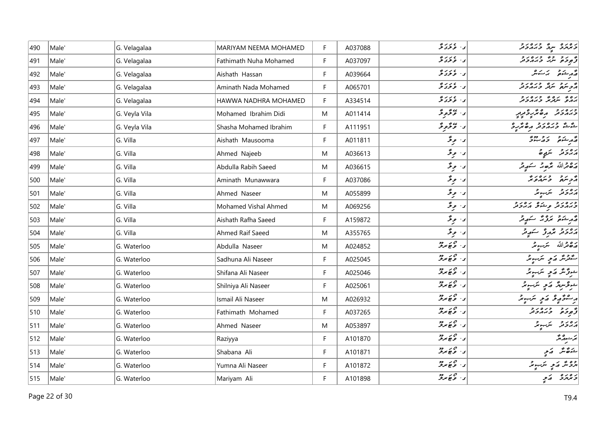| 490 | Male' | G. Velagalaa  | MARIYAM NEEMA MOHAMED  | F  | A037088 | ، ءَ پر پ                                                                                         | נים נים וקביבים ניביק.<br>בינו <i>ק</i> ב וקביביק |
|-----|-------|---------------|------------------------|----|---------|---------------------------------------------------------------------------------------------------|---------------------------------------------------|
| 491 | Male' | G. Velagalaa  | Fathimath Nuha Mohamed | F  | A037097 | ى - ئەترىرىچ                                                                                      | تحجيج و المستر و بره د و                          |
| 492 | Male' | G. Velagalaa  | Aishath Hassan         | F  | A039664 | ، ، ، دربر<br>د ۱ د وکارگ                                                                         | مەم شەكتى بە ئەسكەنلى                             |
| 493 | Male' | G. Velagalaa  | Aminath Nada Mohamed   | F  | A065701 | ى - ئەترىرىچ                                                                                      | و دو دو دوره                                      |
| 494 | Male' | G. Velagalaa  | HAWWA NADHRA MOHAMED   | F  | A334514 | ى بەرىپى<br>ى بەن ئ                                                                               | נים נים בניםנים<br>גבים יינינים בגבים             |
| 495 | Male' | G. Veyla Vila | Mohamed Ibrahim Didi   | M  | A011414 | <mark>ى ئەنۇم</mark> ۇ ئى                                                                         | ورەرو مەشروپر                                     |
| 496 | Male' | G. Veyla Vila | Shasha Mohamed Ibrahim | F  | A111951 | ى بىمۇمۇ                                                                                          | شر وره دو ه و ده ور                               |
| 497 | Male' | G. Villa      | Aishath Mausooma       | F  | A011811 | ى موتى<br>م                                                                                       | أورشتموه والمردوع                                 |
| 498 | Male' | G. Villa      | Ahmed Najeeb           | M  | A036613 |                                                                                                   | أزرو تربح مربح                                    |
| 499 | Male' | G. Villa      | Abdulla Rabih Saeed    | M  | A036615 | ى بوگ                                                                                             | رە قىراللە مۇھ بە سەربىر                          |
| 500 | Male' | G. Villa      | Aminath Munawwara      | F  | A037086 | ى و قر                                                                                            | أروشي ومروري                                      |
| 501 | Male' | G. Villa      | Ahmed Naseer           | M  | A055899 | ى وگ                                                                                              | أرەر دىكىبولا                                     |
| 502 | Male' | G. Villa      | Mohamed Vishal Ahmed   | M  | A069256 | ء ، حرقم                                                                                          | ورەر دەپ رەر د                                    |
| 503 | Male' | G. Villa      | Aishath Rafha Saeed    | F. | A159872 | ى وگ                                                                                              | أو مشعر مروثة كرمية                               |
| 504 | Male' | G. Villa      | Ahmed Raif Saeed       | M  | A355765 | ى بوگ                                                                                             | أرور و عمرو كور                                   |
| 505 | Male' | G. Waterloo   | Abdulla Naseer         | M  | A024852 | د مي دد.<br>د گوه مرگز                                                                            | أرة قرالله تترجعه                                 |
| 506 | Male' | G. Waterloo   | Sadhuna Ali Naseer     | F  | A025045 | ے ۔ حوضے بربر<br>یہ ۔ حوضے بربر                                                                   | سەدىكە كەي ئىكسوند                                |
| 507 | Male' | G. Waterloo   | Shifana Ali Naseer     | F  | A025046 | $\frac{1}{2}$ $\frac{1}{2}$ $\frac{1}{2}$ $\frac{1}{2}$ $\frac{1}{2}$ $\frac{1}{2}$ $\frac{1}{2}$ | حوژنئر ړی بربېږيز                                 |
| 508 | Male' | G. Waterloo   | Shilniya Ali Naseer    | F  | A025061 | 37.60.5                                                                                           | جوفرسرم كالمح الكرسوم                             |
| 509 | Male' | G. Waterloo   | Ismail Ali Naseer      | M  | A026932 | د مي د دد.<br>د گوهامرفز                                                                          | ر جۇرچە كەي ترىپولا                               |
| 510 | Male' | G. Waterloo   | Fathimath Mohamed      | F  | A037265 | ے ۔ 20 پروژ<br>ی - 29 پروژ                                                                        | و ده دره در                                       |
| 511 | Male' | G. Waterloo   | Ahmed Naseer           | M  | A053897 | ין פי<br>ז' פיש זקיק                                                                              | أرور مرسور                                        |
| 512 | Male' | G. Waterloo   | Raziyya                | F  | A101870 | ے ۔ حوض پر <del>وہ</del><br>ی ۔ حوضے <i>پر</i> ی                                                  | ىر سىدە بىر<br>مەسىر                              |
| 513 | Male' | G. Waterloo   | Shabana Ali            | F  | A101871 | ے ۔ حوضے بربر<br>یہ ۔ حوضے بربر                                                                   | شَرَةٌ شَرِ مَرْحِ                                |
| 514 | Male' | G. Waterloo   | Yumna Ali Naseer       | F  | A101872 | 3.6015                                                                                            | أروهر كمي الكبابة                                 |
| 515 | Male' | G. Waterloo   | Mariyam Ali            | F  | A101898 | י קיש דב<br>ז' קש דב                                                                              | د ۱۶ د په په                                      |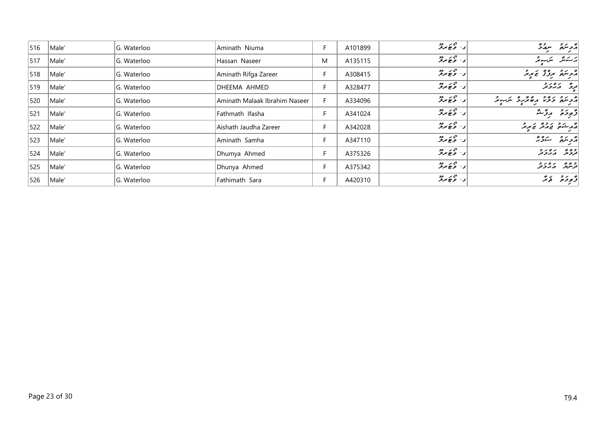| 516 | Male' | G. Waterloo | Aminath Niuma                 |   | A101899 | د مي دد.<br>د گوهامرفز                                 | سروی<br>  پر دیگر د                 |
|-----|-------|-------------|-------------------------------|---|---------|--------------------------------------------------------|-------------------------------------|
| 517 | Male' | G. Waterloo | Hassan Naseer                 | M | A135115 | $\begin{vmatrix} 2 & 2 & 3 \\ 2 & 2 & 3 \end{vmatrix}$ | پرستمبر مترسونز                     |
| 518 | Male' | G. Waterloo | Aminath Rifga Zareer          |   | A308415 | د مي دد.<br>د گوهامرفز                                 | أأزم سكافه المحرار والمحاجز بالرائد |
| 519 | Male' | G. Waterloo | DHEEMA AHMED                  |   | A328477 | د ، ه ه کامونژ                                         | در حمد در حر                        |
| 520 | Male' | G. Waterloo | Aminath Malaak Ibrahim Naseer |   | A334096 | د مي دد.<br>د گوهامرفز                                 | 0 00 000 000 000<br>سرسبوسر         |
| 521 | Male' | G. Waterloo | Fathmath Ifasha               |   | A341024 | د . ه څه پرونه<br>د . ه څه پورنژ                       | ژوڅو اروگ                           |
| 522 | Male' | G. Waterloo | Aishath Jaudha Zareer         |   | A342028 | د ، ه ه کامونژ<br>  د ، ه ه کامونژ                     | أما ويدد والمردوح المحامر من        |
| 523 | Male' | G. Waterloo | Aminath Samha                 |   | A347110 | په ۱۶۰۰ د د                                            | لمجر مترو<br>سەۋىر                  |
| 524 | Male' | G. Waterloo | Dhumya Ahmed                  |   | A375326 | د ، ه ه کامونژ<br>  د ، ه ه کامونژ                     | و ه بژ<br>تروبژ<br>برور و           |
| 525 | Male' | G. Waterloo | Dhunya Ahmed                  |   | A375342 | ى بە ھەيدىتى                                           | ترسرگر<br>پر ور و                   |
| 526 | Male' | G. Waterloo | Fathimath Sara                |   | A420310 | ין בין בדי<br>ז' פשיקיב                                | تو پر د<br>ځومگر                    |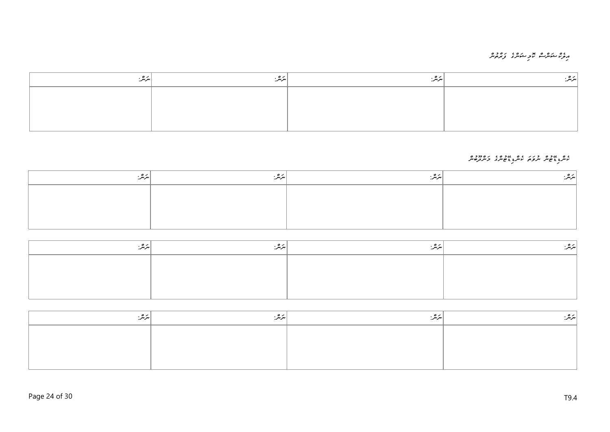## *w7qAn8m? sCw7mRo>u; wEw7mRw;sBo<*

| ' مرمر | 'يئرىثر: |
|--------|----------|
|        |          |
|        |          |
|        |          |

## *w7q9r@w7m> sCw7qHtFoFw7s; mAm=q7 w7qHtFoFw7s;*

| ىر تە | $\mathcal{O} \times$<br>$\sim$ | $\sim$<br>. . | لترنثر |
|-------|--------------------------------|---------------|--------|
|       |                                |               |        |
|       |                                |               |        |
|       |                                |               |        |

| انترنثر: | $^{\circ}$ | يبرهر | $^{\circ}$<br>سرسر |
|----------|------------|-------|--------------------|
|          |            |       |                    |
|          |            |       |                    |
|          |            |       |                    |

| ' ئىرتىر: | سر سر |  |
|-----------|-------|--|
|           |       |  |
|           |       |  |
|           |       |  |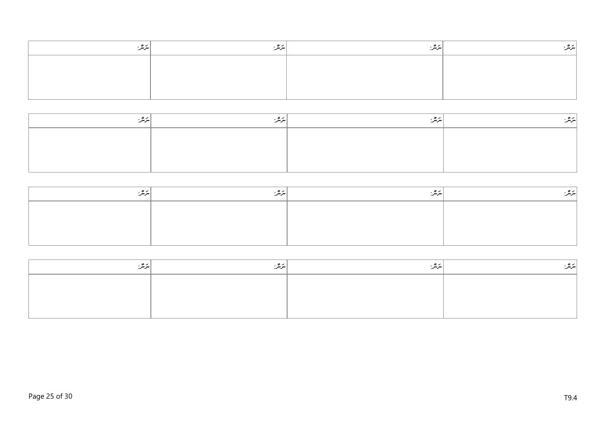| يزهر | $^{\circ}$ | ىئرىتر: |  |
|------|------------|---------|--|
|      |            |         |  |
|      |            |         |  |
|      |            |         |  |

| متريثر به | 。<br>'سرسر'۔ | يتزيترا | سرسر |
|-----------|--------------|---------|------|
|           |              |         |      |
|           |              |         |      |
|           |              |         |      |

| ىئرىتر. | $\sim$ | ا بر هه. | لىرىش |
|---------|--------|----------|-------|
|         |        |          |       |
|         |        |          |       |
|         |        |          |       |

| 。<br>مرس. | $\overline{\phantom{a}}$<br>مر مىر | يتريثر |
|-----------|------------------------------------|--------|
|           |                                    |        |
|           |                                    |        |
|           |                                    |        |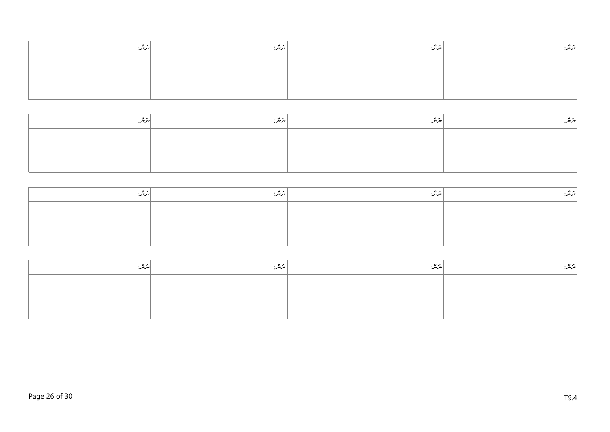| ير هو . | $\overline{\phantom{a}}$ | يرمر | اير هنه. |
|---------|--------------------------|------|----------|
|         |                          |      |          |
|         |                          |      |          |
|         |                          |      |          |

| ىر تىر: | $\circ$ $\sim$<br>" سرسر . | يترمير | o . |
|---------|----------------------------|--------|-----|
|         |                            |        |     |
|         |                            |        |     |
|         |                            |        |     |

| 'تترنثر: | 。<br>,,,, |  |
|----------|-----------|--|
|          |           |  |
|          |           |  |
|          |           |  |

|  | . ه |
|--|-----|
|  |     |
|  |     |
|  |     |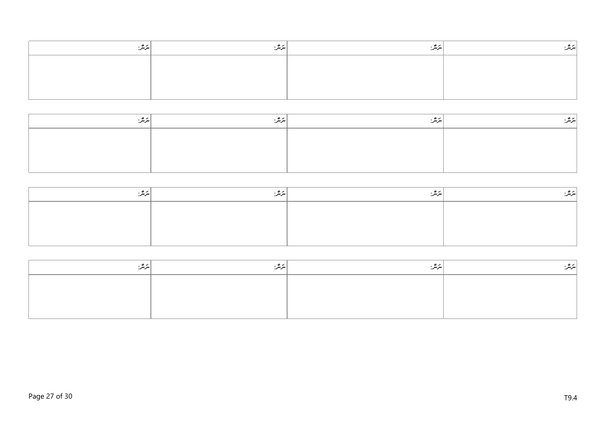| ير هو . | $\overline{\phantom{a}}$ | يرمر | اير هنه. |
|---------|--------------------------|------|----------|
|         |                          |      |          |
|         |                          |      |          |
|         |                          |      |          |

| ىر تىر: | $\circ$ $\sim$<br>" سرسر . | يترمير | o . |
|---------|----------------------------|--------|-----|
|         |                            |        |     |
|         |                            |        |     |
|         |                            |        |     |

| انترنثر: | ر ه |  |
|----------|-----|--|
|          |     |  |
|          |     |  |
|          |     |  |

|  | . ه |
|--|-----|
|  |     |
|  |     |
|  |     |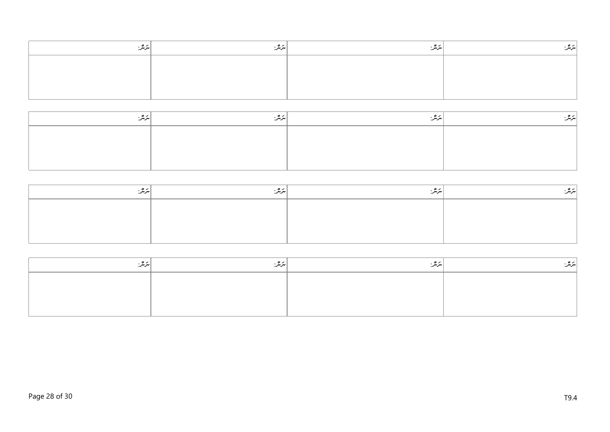| $\cdot$ | ο. | $\frac{\circ}{\cdot}$ | $\sim$<br>سرسر |
|---------|----|-----------------------|----------------|
|         |    |                       |                |
|         |    |                       |                |
|         |    |                       |                |

| ايرعر: | ر ه<br>. . |  |
|--------|------------|--|
|        |            |  |
|        |            |  |
|        |            |  |

| بر ه | 。 | $\sim$<br>َ سومس. |  |
|------|---|-------------------|--|
|      |   |                   |  |
|      |   |                   |  |
|      |   |                   |  |

| 。<br>. س | ىرىىر |  |
|----------|-------|--|
|          |       |  |
|          |       |  |
|          |       |  |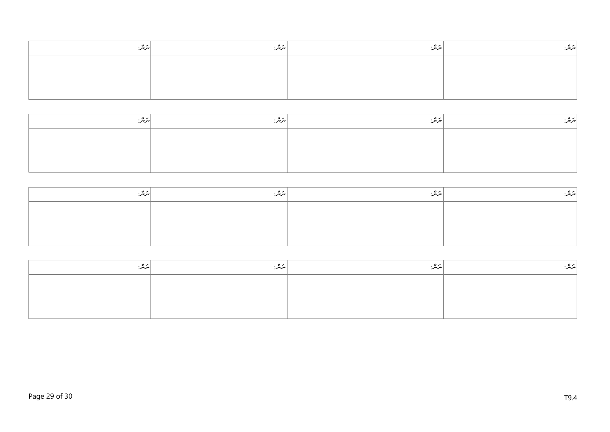| ير هو . | $\overline{\phantom{a}}$ | يرمر | لتزمثن |
|---------|--------------------------|------|--------|
|         |                          |      |        |
|         |                          |      |        |
|         |                          |      |        |

| ىر تىر: | $\circ$ $\sim$<br>" سرسر . | يترمير | o . |
|---------|----------------------------|--------|-----|
|         |                            |        |     |
|         |                            |        |     |
|         |                            |        |     |

| 'تترنثر: | 。<br>,,,, |  |
|----------|-----------|--|
|          |           |  |
|          |           |  |
|          |           |  |

|  | . ه |
|--|-----|
|  |     |
|  |     |
|  |     |